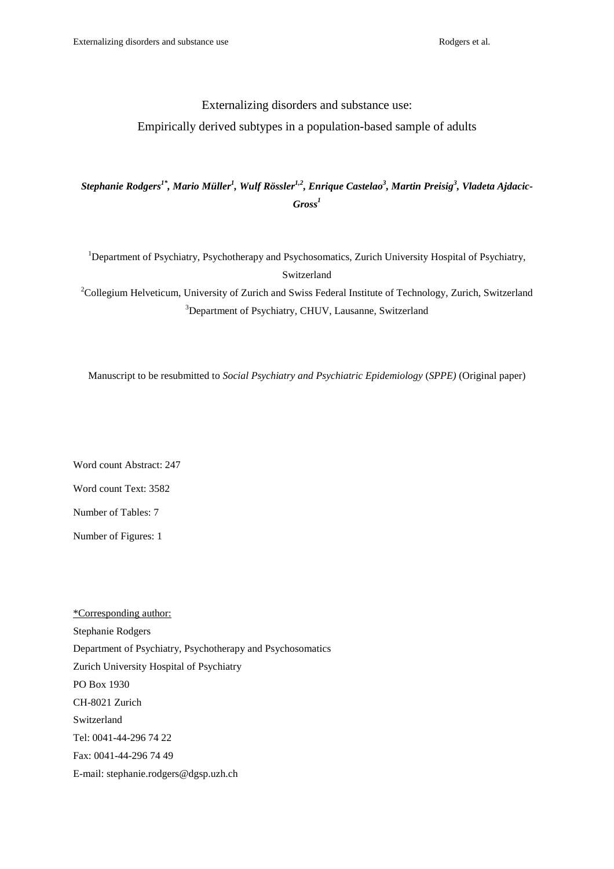# Externalizing disorders and substance use:

## Empirically derived subtypes in a population-based sample of adults

# *Stephanie Rodgers1\*, Mario Müller<sup>1</sup> , Wulf Rössler1,2, Enrique Castelao<sup>3</sup> , Martin Preisig<sup>3</sup> , Vladeta Ajdacic-Gross<sup>1</sup>*

<sup>1</sup>Department of Psychiatry, Psychotherapy and Psychosomatics, Zurich University Hospital of Psychiatry, Switzerland

<sup>2</sup>Collegium Helveticum, University of Zurich and Swiss Federal Institute of Technology, Zurich, Switzerland <sup>3</sup>Department of Psychiatry, CHUV, Lausanne, Switzerland

Manuscript to be resubmitted to *Social Psychiatry and Psychiatric Epidemiology* (*SPPE)* (Original paper)

Word count Abstract: 247 Word count Text: 3582 Number of Tables: 7

Number of Figures: 1

\*Corresponding author: Stephanie Rodgers Department of Psychiatry, Psychotherapy and Psychosomatics Zurich University Hospital of Psychiatry PO Box 1930 CH-8021 Zurich Switzerland Tel: 0041-44-296 74 22 Fax: 0041-44-296 74 49 E-mail: stephanie.rodgers@dgsp.uzh.ch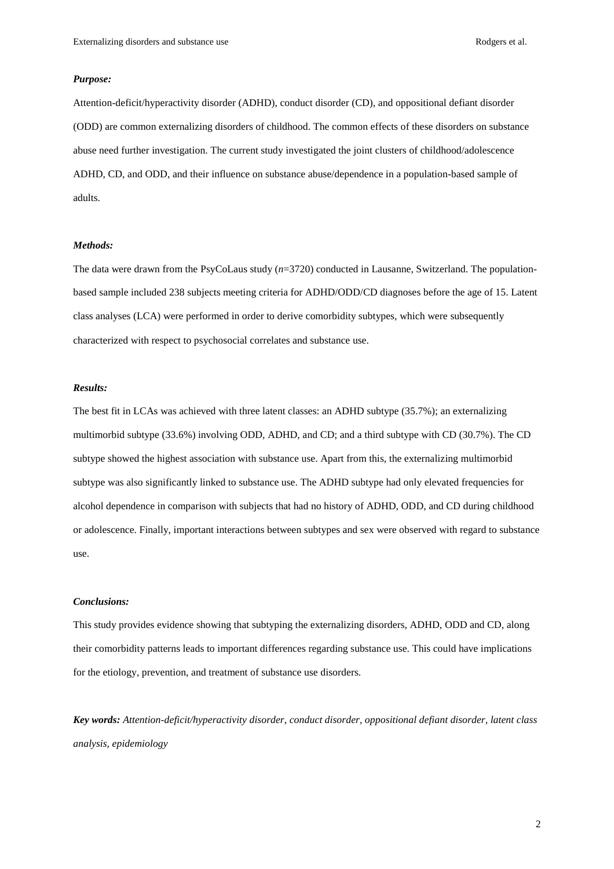## *Purpose:*

Attention-deficit/hyperactivity disorder (ADHD), conduct disorder (CD), and oppositional defiant disorder (ODD) are common externalizing disorders of childhood. The common effects of these disorders on substance abuse need further investigation. The current study investigated the joint clusters of childhood/adolescence ADHD, CD, and ODD, and their influence on substance abuse/dependence in a population-based sample of adults.

#### *Methods:*

The data were drawn from the PsyCoLaus study (*n*=3720) conducted in Lausanne, Switzerland. The populationbased sample included 238 subjects meeting criteria for ADHD/ODD/CD diagnoses before the age of 15. Latent class analyses (LCA) were performed in order to derive comorbidity subtypes, which were subsequently characterized with respect to psychosocial correlates and substance use.

## *Results:*

The best fit in LCAs was achieved with three latent classes: an ADHD subtype (35.7%); an externalizing multimorbid subtype (33.6%) involving ODD, ADHD, and CD; and a third subtype with CD (30.7%). The CD subtype showed the highest association with substance use. Apart from this, the externalizing multimorbid subtype was also significantly linked to substance use. The ADHD subtype had only elevated frequencies for alcohol dependence in comparison with subjects that had no history of ADHD, ODD, and CD during childhood or adolescence. Finally, important interactions between subtypes and sex were observed with regard to substance use.

## *Conclusions:*

This study provides evidence showing that subtyping the externalizing disorders, ADHD, ODD and CD, along their comorbidity patterns leads to important differences regarding substance use. This could have implications for the etiology, prevention, and treatment of substance use disorders.

*Key words: Attention-deficit/hyperactivity disorder, conduct disorder, oppositional defiant disorder, latent class analysis, epidemiology*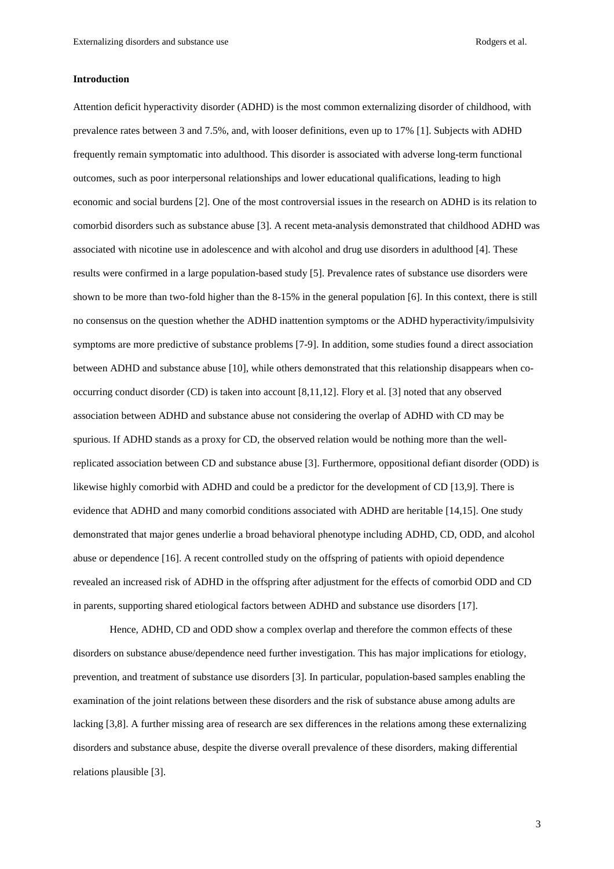### **Introduction**

Attention deficit hyperactivity disorder (ADHD) is the most common externalizing disorder of childhood, with prevalence rates between 3 and 7.5%, and, with looser definitions, even up to 17% [1]. Subjects with ADHD frequently remain symptomatic into adulthood. This disorder is associated with adverse long-term functional outcomes, such as poor interpersonal relationships and lower educational qualifications, leading to high economic and social burdens [2]. One of the most controversial issues in the research on ADHD is its relation to comorbid disorders such as substance abuse [3]. A recent meta-analysis demonstrated that childhood ADHD was associated with nicotine use in adolescence and with alcohol and drug use disorders in adulthood [4]. These results were confirmed in a large population-based study [5]. Prevalence rates of substance use disorders were shown to be more than two-fold higher than the 8-15% in the general population [6]. In this context, there is still no consensus on the question whether the ADHD inattention symptoms or the ADHD hyperactivity/impulsivity symptoms are more predictive of substance problems [7-9]. In addition, some studies found a direct association between ADHD and substance abuse [10], while others demonstrated that this relationship disappears when cooccurring conduct disorder (CD) is taken into account [8,11,12]. Flory et al. [3] noted that any observed association between ADHD and substance abuse not considering the overlap of ADHD with CD may be spurious. If ADHD stands as a proxy for CD, the observed relation would be nothing more than the wellreplicated association between CD and substance abuse [3]. Furthermore, oppositional defiant disorder (ODD) is likewise highly comorbid with ADHD and could be a predictor for the development of CD [13,9]. There is evidence that ADHD and many comorbid conditions associated with ADHD are heritable [14,15]. One study demonstrated that major genes underlie a broad behavioral phenotype including ADHD, CD, ODD, and alcohol abuse or dependence [16]. A recent controlled study on the offspring of patients with opioid dependence revealed an increased risk of ADHD in the offspring after adjustment for the effects of comorbid ODD and CD in parents, supporting shared etiological factors between ADHD and substance use disorders [17].

Hence, ADHD, CD and ODD show a complex overlap and therefore the common effects of these disorders on substance abuse/dependence need further investigation. This has major implications for etiology, prevention, and treatment of substance use disorders [3]. In particular, population-based samples enabling the examination of the joint relations between these disorders and the risk of substance abuse among adults are lacking [3,8]. A further missing area of research are sex differences in the relations among these externalizing disorders and substance abuse, despite the diverse overall prevalence of these disorders, making differential relations plausible [3].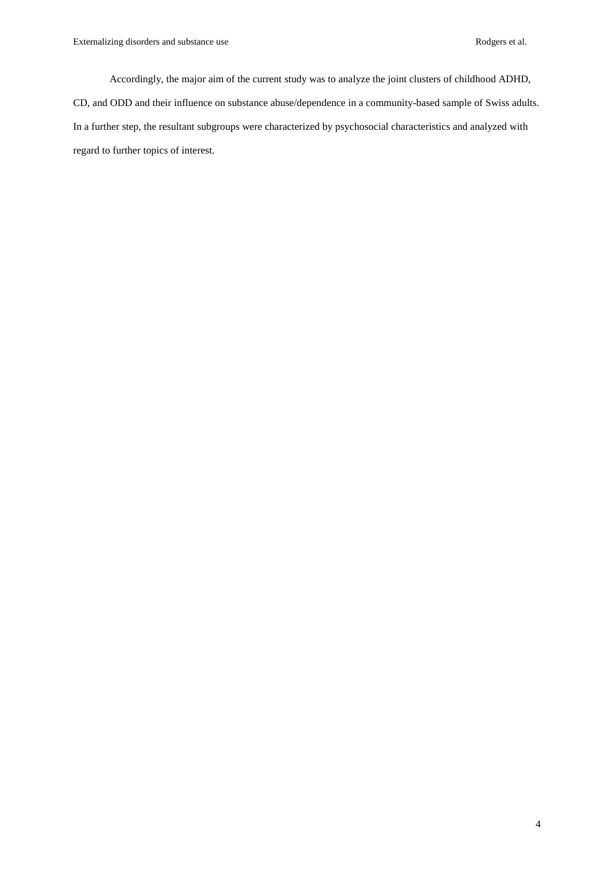Accordingly, the major aim of the current study was to analyze the joint clusters of childhood ADHD, CD, and ODD and their influence on substance abuse/dependence in a community-based sample of Swiss adults. In a further step, the resultant subgroups were characterized by psychosocial characteristics and analyzed with regard to further topics of interest.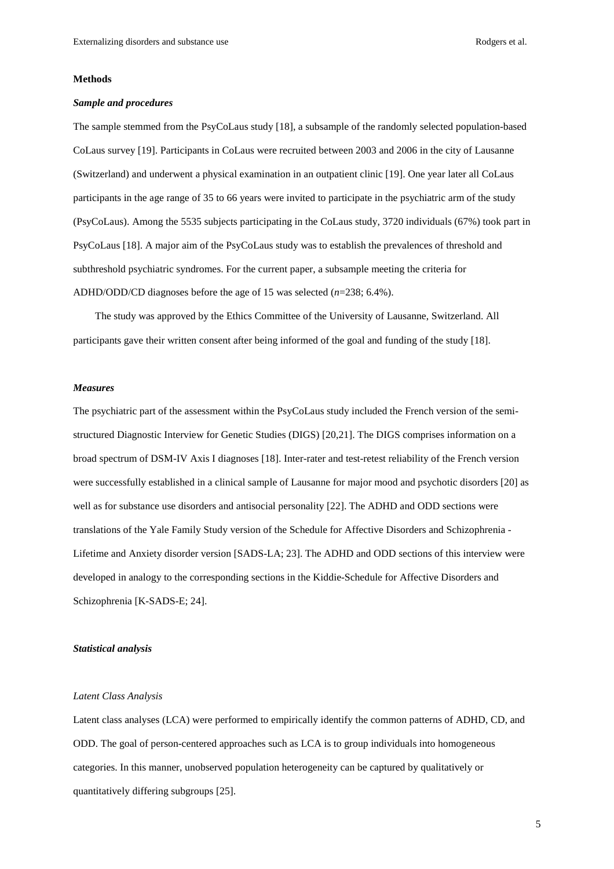### **Methods**

#### *Sample and procedures*

The sample stemmed from the PsyCoLaus study [18], a subsample of the randomly selected population-based CoLaus survey [19]. Participants in CoLaus were recruited between 2003 and 2006 in the city of Lausanne (Switzerland) and underwent a physical examination in an outpatient clinic [19]. One year later all CoLaus participants in the age range of 35 to 66 years were invited to participate in the psychiatric arm of the study (PsyCoLaus). Among the 5535 subjects participating in the CoLaus study, 3720 individuals (67%) took part in PsyCoLaus [18]. A major aim of the PsyCoLaus study was to establish the prevalences of threshold and subthreshold psychiatric syndromes. For the current paper, a subsample meeting the criteria for ADHD/ODD/CD diagnoses before the age of 15 was selected (*n*=238; 6.4%).

The study was approved by the Ethics Committee of the University of Lausanne, Switzerland. All participants gave their written consent after being informed of the goal and funding of the study [18].

### *Measures*

The psychiatric part of the assessment within the PsyCoLaus study included the French version of the semistructured Diagnostic Interview for Genetic Studies (DIGS) [20,21]. The DIGS comprises information on a broad spectrum of DSM-IV Axis I diagnoses [18]. Inter-rater and test-retest reliability of the French version were successfully established in a clinical sample of Lausanne for major mood and psychotic disorders [20] as well as for substance use disorders and antisocial personality [22]. The ADHD and ODD sections were translations of the Yale Family Study version of the Schedule for Affective Disorders and Schizophrenia - Lifetime and Anxiety disorder version [SADS-LA; 23]. The ADHD and ODD sections of this interview were developed in analogy to the corresponding sections in the Kiddie-Schedule for Affective Disorders and Schizophrenia [K-SADS-E; 24].

## *Statistical analysis*

#### *Latent Class Analysis*

Latent class analyses (LCA) were performed to empirically identify the common patterns of ADHD, CD, and ODD. The goal of person-centered approaches such as LCA is to group individuals into homogeneous categories. In this manner, unobserved population heterogeneity can be captured by qualitatively or quantitatively differing subgroups [25].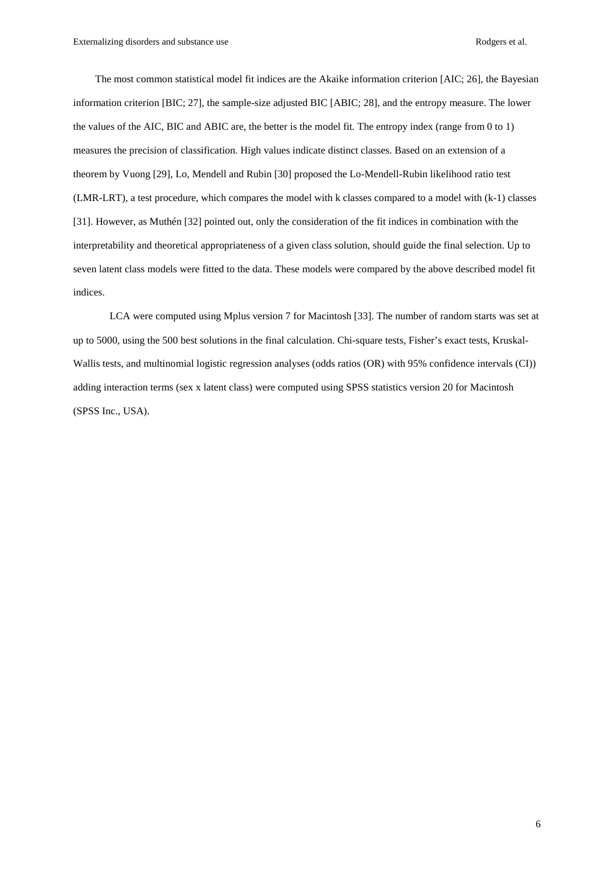The most common statistical model fit indices are the Akaike information criterion [AIC; 26], the Bayesian information criterion [BIC; 27], the sample-size adjusted BIC [ABIC; 28], and the entropy measure. The lower the values of the AIC, BIC and ABIC are, the better is the model fit*.* The entropy index (range from 0 to 1) measures the precision of classification. High values indicate distinct classes. Based on an extension of a theorem by Vuong [29], Lo, Mendell and Rubin [30] proposed the Lo-Mendell-Rubin likelihood ratio test (LMR-LRT), a test procedure, which compares the model with k classes compared to a model with (k-1) classes [31]. However, as Muthén [32] pointed out, only the consideration of the fit indices in combination with the interpretability and theoretical appropriateness of a given class solution, should guide the final selection. Up to seven latent class models were fitted to the data. These models were compared by the above described model fit indices.

LCA were computed using Mplus version 7 for Macintosh [33]. The number of random starts was set at up to 5000, using the 500 best solutions in the final calculation. Chi-square tests, Fisher's exact tests, Kruskal-Wallis tests, and multinomial logistic regression analyses (odds ratios (OR) with 95% confidence intervals (CI)) adding interaction terms (sex x latent class) were computed using SPSS statistics version 20 for Macintosh (SPSS Inc., USA).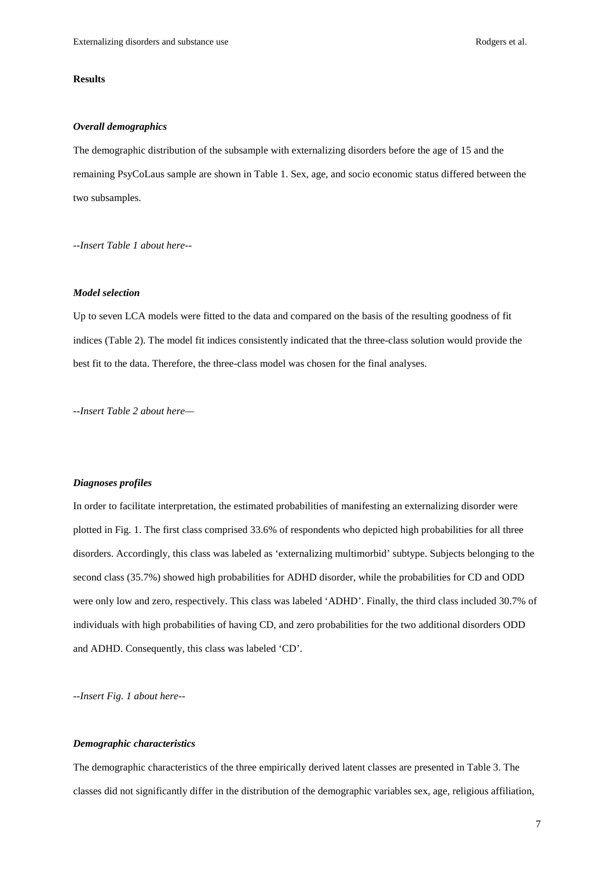## **Results**

## *Overall demographics*

The demographic distribution of the subsample with externalizing disorders before the age of 15 and the remaining PsyCoLaus sample are shown in Table 1. Sex, age, and socio economic status differed between the two subsamples.

*--Insert Table 1 about here--* 

## *Model selection*

Up to seven LCA models were fitted to the data and compared on the basis of the resulting goodness of fit indices (Table 2). The model fit indices consistently indicated that the three-class solution would provide the best fit to the data. Therefore, the three-class model was chosen for the final analyses.

*--Insert Table 2 about here—* 

### *Diagnoses profiles*

In order to facilitate interpretation, the estimated probabilities of manifesting an externalizing disorder were plotted in Fig. 1. The first class comprised 33.6% of respondents who depicted high probabilities for all three disorders. Accordingly, this class was labeled as 'externalizing multimorbid' subtype. Subjects belonging to the second class (35.7%) showed high probabilities for ADHD disorder, while the probabilities for CD and ODD were only low and zero, respectively. This class was labeled 'ADHD'. Finally, the third class included 30.7% of individuals with high probabilities of having CD, and zero probabilities for the two additional disorders ODD and ADHD. Consequently, this class was labeled 'CD'.

*--Insert Fig. 1 about here--* 

## *Demographic characteristics*

The demographic characteristics of the three empirically derived latent classes are presented in Table 3. The classes did not significantly differ in the distribution of the demographic variables sex, age, religious affiliation,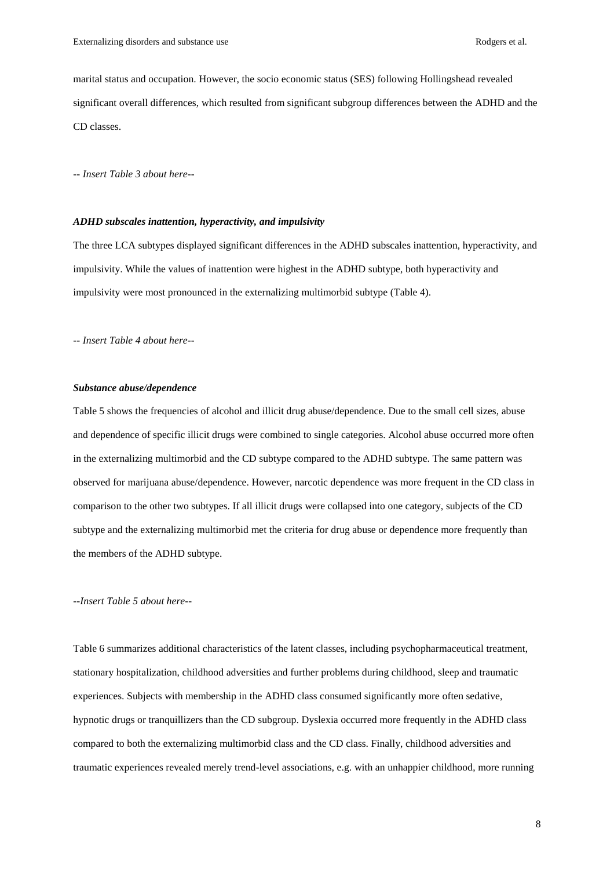marital status and occupation. However, the socio economic status (SES) following Hollingshead revealed significant overall differences, which resulted from significant subgroup differences between the ADHD and the CD classes.

*-- Insert Table 3 about here--* 

## *ADHD subscales inattention, hyperactivity, and impulsivity*

The three LCA subtypes displayed significant differences in the ADHD subscales inattention, hyperactivity, and impulsivity. While the values of inattention were highest in the ADHD subtype, both hyperactivity and impulsivity were most pronounced in the externalizing multimorbid subtype (Table 4).

*-- Insert Table 4 about here--* 

## *Substance abuse/dependence*

Table 5 shows the frequencies of alcohol and illicit drug abuse/dependence. Due to the small cell sizes, abuse and dependence of specific illicit drugs were combined to single categories. Alcohol abuse occurred more often in the externalizing multimorbid and the CD subtype compared to the ADHD subtype. The same pattern was observed for marijuana abuse/dependence. However, narcotic dependence was more frequent in the CD class in comparison to the other two subtypes. If all illicit drugs were collapsed into one category, subjects of the CD subtype and the externalizing multimorbid met the criteria for drug abuse or dependence more frequently than the members of the ADHD subtype.

#### *--Insert Table 5 about here--*

Table 6 summarizes additional characteristics of the latent classes, including psychopharmaceutical treatment, stationary hospitalization, childhood adversities and further problems during childhood, sleep and traumatic experiences. Subjects with membership in the ADHD class consumed significantly more often sedative, hypnotic drugs or tranquillizers than the CD subgroup. Dyslexia occurred more frequently in the ADHD class compared to both the externalizing multimorbid class and the CD class. Finally, childhood adversities and traumatic experiences revealed merely trend-level associations, e.g. with an unhappier childhood, more running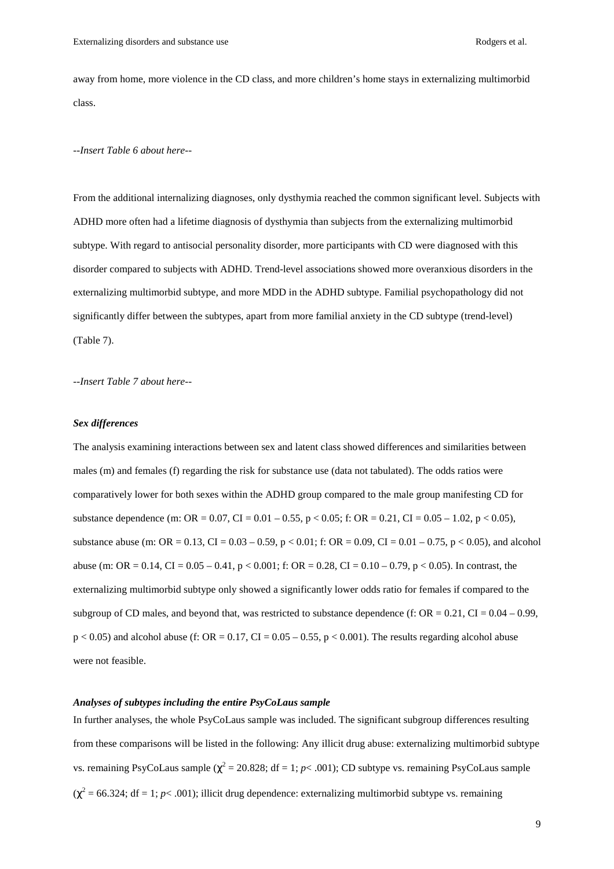away from home, more violence in the CD class, and more children's home stays in externalizing multimorbid class.

#### *--Insert Table 6 about here--*

From the additional internalizing diagnoses, only dysthymia reached the common significant level. Subjects with ADHD more often had a lifetime diagnosis of dysthymia than subjects from the externalizing multimorbid subtype. With regard to antisocial personality disorder, more participants with CD were diagnosed with this disorder compared to subjects with ADHD. Trend-level associations showed more overanxious disorders in the externalizing multimorbid subtype, and more MDD in the ADHD subtype. Familial psychopathology did not significantly differ between the subtypes, apart from more familial anxiety in the CD subtype (trend-level) (Table 7).

*--Insert Table 7 about here--* 

## *Sex differences*

The analysis examining interactions between sex and latent class showed differences and similarities between males (m) and females (f) regarding the risk for substance use (data not tabulated). The odds ratios were comparatively lower for both sexes within the ADHD group compared to the male group manifesting CD for substance dependence (m:  $OR = 0.07$ ,  $CI = 0.01 - 0.55$ ,  $p < 0.05$ ; f:  $OR = 0.21$ ,  $CI = 0.05 - 1.02$ ,  $p < 0.05$ ), substance abuse (m: OR = 0.13, CI = 0.03 – 0.59, p < 0.01; f: OR = 0.09, CI = 0.01 – 0.75, p < 0.05), and alcohol abuse (m: OR = 0.14, CI = 0.05 – 0.41, p < 0.001; f: OR = 0.28, CI = 0.10 – 0.79, p < 0.05). In contrast, the externalizing multimorbid subtype only showed a significantly lower odds ratio for females if compared to the subgroup of CD males, and beyond that, was restricted to substance dependence (f:  $OR = 0.21$ ,  $CI = 0.04 - 0.99$ ,  $p < 0.05$ ) and alcohol abuse (f: OR = 0.17, CI = 0.05 – 0.55, p < 0.001). The results regarding alcohol abuse were not feasible.

## *Analyses of subtypes including the entire PsyCoLaus sample*

In further analyses, the whole PsyCoLaus sample was included. The significant subgroup differences resulting from these comparisons will be listed in the following: Any illicit drug abuse: externalizing multimorbid subtype vs. remaining PsyCoLaus sample ( $\chi^2$  = 20.828; df = 1; *p*< .001); CD subtype vs. remaining PsyCoLaus sample  $(\chi^2 = 66.324; df = 1; p < .001)$ ; illicit drug dependence: externalizing multimorbid subtype vs. remaining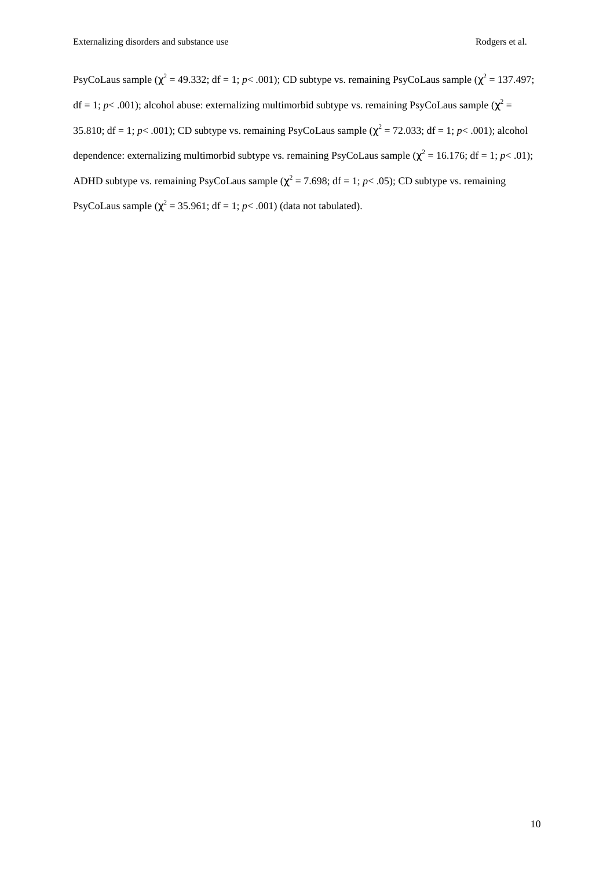PsyCoLaus sample ( $\chi^2$  = 49.332; df = 1; *p*< .001); CD subtype vs. remaining PsyCoLaus sample ( $\chi^2$  = 137.497;  $df = 1$ ;  $p < .001$ ); alcohol abuse: externalizing multimorbid subtype vs. remaining PsyCoLaus sample ( $\chi^2 =$ 35.810; df = 1;  $p$ < .001); CD subtype vs. remaining PsyCoLaus sample ( $\chi^2$  = 72.033; df = 1;  $p$ < .001); alcohol dependence: externalizing multimorbid subtype vs. remaining PsyCoLaus sample ( $\chi^2$  = 16.176; df = 1; *p*< .01); ADHD subtype vs. remaining PsyCoLaus sample ( $\chi^2$  = 7.698; df = 1; *p*< .05); CD subtype vs. remaining PsyCoLaus sample  $(\chi^2 = 35.961; df = 1; p < .001)$  (data not tabulated).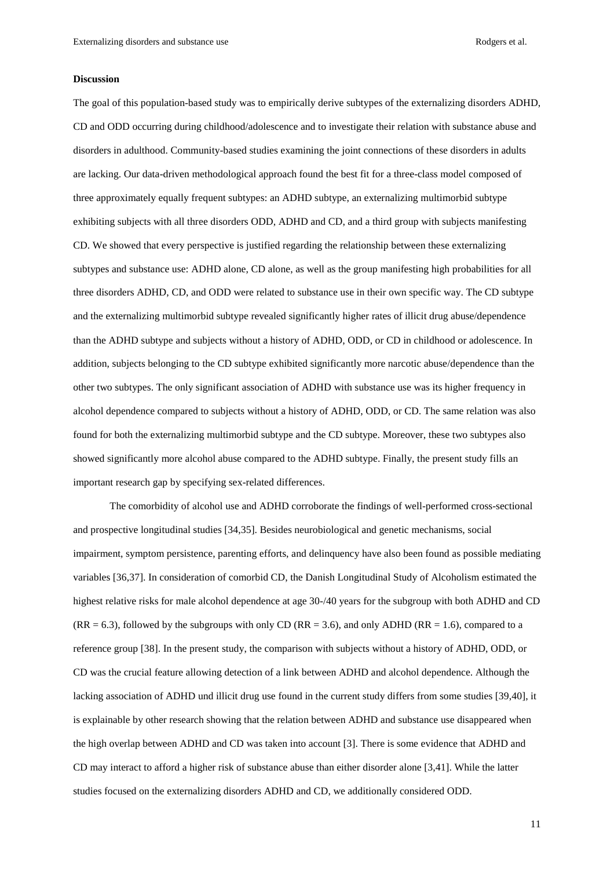## **Discussion**

The goal of this population-based study was to empirically derive subtypes of the externalizing disorders ADHD, CD and ODD occurring during childhood/adolescence and to investigate their relation with substance abuse and disorders in adulthood. Community-based studies examining the joint connections of these disorders in adults are lacking. Our data-driven methodological approach found the best fit for a three-class model composed of three approximately equally frequent subtypes: an ADHD subtype, an externalizing multimorbid subtype exhibiting subjects with all three disorders ODD, ADHD and CD, and a third group with subjects manifesting CD. We showed that every perspective is justified regarding the relationship between these externalizing subtypes and substance use: ADHD alone, CD alone, as well as the group manifesting high probabilities for all three disorders ADHD, CD, and ODD were related to substance use in their own specific way. The CD subtype and the externalizing multimorbid subtype revealed significantly higher rates of illicit drug abuse/dependence than the ADHD subtype and subjects without a history of ADHD, ODD, or CD in childhood or adolescence. In addition, subjects belonging to the CD subtype exhibited significantly more narcotic abuse/dependence than the other two subtypes. The only significant association of ADHD with substance use was its higher frequency in alcohol dependence compared to subjects without a history of ADHD, ODD, or CD. The same relation was also found for both the externalizing multimorbid subtype and the CD subtype. Moreover, these two subtypes also showed significantly more alcohol abuse compared to the ADHD subtype. Finally, the present study fills an important research gap by specifying sex-related differences.

The comorbidity of alcohol use and ADHD corroborate the findings of well-performed cross-sectional and prospective longitudinal studies [34,35]. Besides neurobiological and genetic mechanisms, social impairment, symptom persistence, parenting efforts, and delinquency have also been found as possible mediating variables [36,37]. In consideration of comorbid CD, the Danish Longitudinal Study of Alcoholism estimated the highest relative risks for male alcohol dependence at age 30-/40 years for the subgroup with both ADHD and CD  $(RR = 6.3)$ , followed by the subgroups with only CD  $(RR = 3.6)$ , and only ADHD  $(RR = 1.6)$ , compared to a reference group [38]. In the present study, the comparison with subjects without a history of ADHD, ODD, or CD was the crucial feature allowing detection of a link between ADHD and alcohol dependence. Although the lacking association of ADHD und illicit drug use found in the current study differs from some studies [39,40], it is explainable by other research showing that the relation between ADHD and substance use disappeared when the high overlap between ADHD and CD was taken into account [3]. There is some evidence that ADHD and CD may interact to afford a higher risk of substance abuse than either disorder alone [3,41]. While the latter studies focused on the externalizing disorders ADHD and CD, we additionally considered ODD.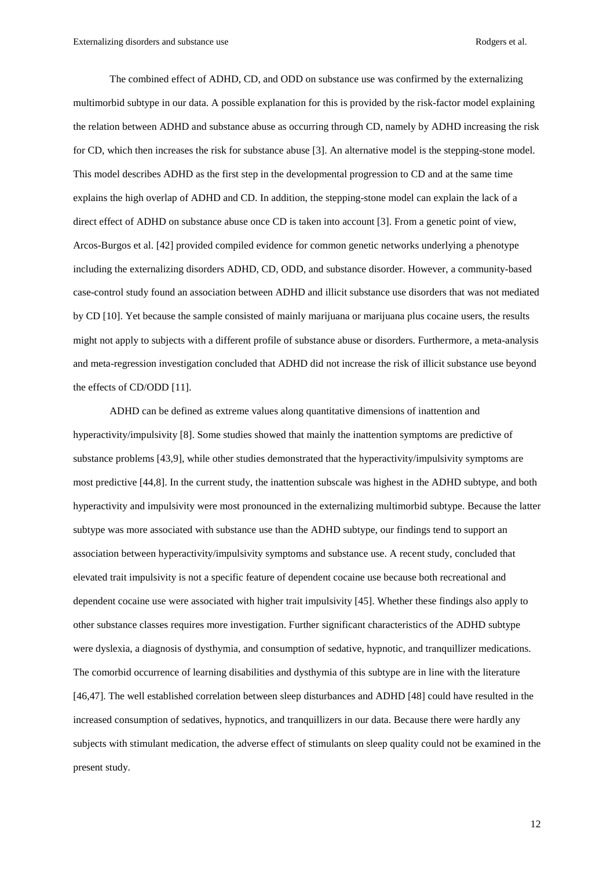The combined effect of ADHD, CD, and ODD on substance use was confirmed by the externalizing multimorbid subtype in our data. A possible explanation for this is provided by the risk-factor model explaining the relation between ADHD and substance abuse as occurring through CD, namely by ADHD increasing the risk for CD, which then increases the risk for substance abuse [3]. An alternative model is the stepping-stone model. This model describes ADHD as the first step in the developmental progression to CD and at the same time explains the high overlap of ADHD and CD. In addition, the stepping-stone model can explain the lack of a direct effect of ADHD on substance abuse once CD is taken into account [3]. From a genetic point of view, Arcos-Burgos et al. [42] provided compiled evidence for common genetic networks underlying a phenotype including the externalizing disorders ADHD, CD, ODD, and substance disorder. However, a community-based case-control study found an association between ADHD and illicit substance use disorders that was not mediated by CD [10]. Yet because the sample consisted of mainly marijuana or marijuana plus cocaine users, the results might not apply to subjects with a different profile of substance abuse or disorders. Furthermore, a meta-analysis and meta-regression investigation concluded that ADHD did not increase the risk of illicit substance use beyond the effects of CD/ODD [11].

ADHD can be defined as extreme values along quantitative dimensions of inattention and hyperactivity/impulsivity [8]. Some studies showed that mainly the inattention symptoms are predictive of substance problems [43,9], while other studies demonstrated that the hyperactivity/impulsivity symptoms are most predictive [44,8]. In the current study, the inattention subscale was highest in the ADHD subtype, and both hyperactivity and impulsivity were most pronounced in the externalizing multimorbid subtype. Because the latter subtype was more associated with substance use than the ADHD subtype, our findings tend to support an association between hyperactivity/impulsivity symptoms and substance use. A recent study, concluded that elevated trait impulsivity is not a specific feature of dependent cocaine use because both recreational and dependent cocaine use were associated with higher trait impulsivity [45]. Whether these findings also apply to other substance classes requires more investigation. Further significant characteristics of the ADHD subtype were dyslexia, a diagnosis of dysthymia, and consumption of sedative, hypnotic, and tranquillizer medications. The comorbid occurrence of learning disabilities and dysthymia of this subtype are in line with the literature [46,47]. The well established correlation between sleep disturbances and ADHD [48] could have resulted in the increased consumption of sedatives, hypnotics, and tranquillizers in our data. Because there were hardly any subjects with stimulant medication, the adverse effect of stimulants on sleep quality could not be examined in the present study.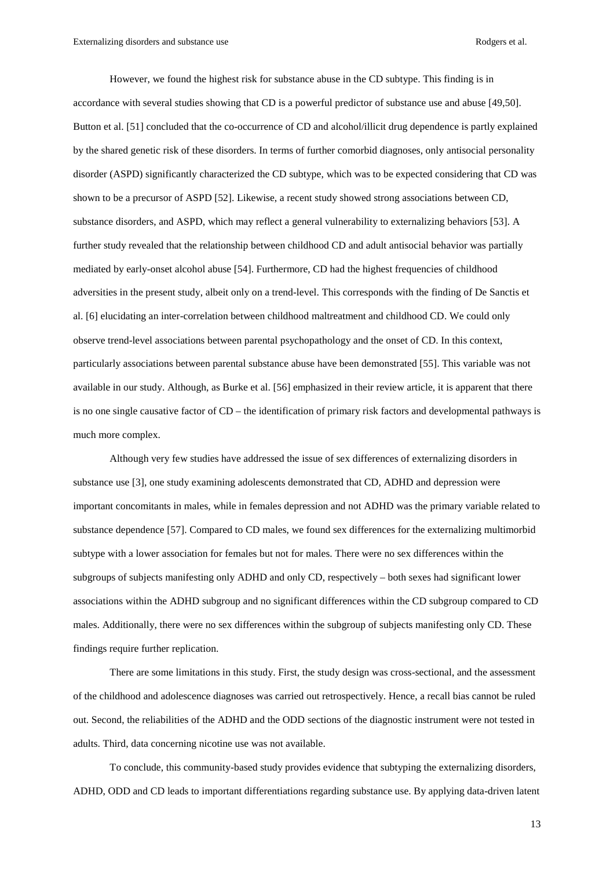However, we found the highest risk for substance abuse in the CD subtype. This finding is in accordance with several studies showing that CD is a powerful predictor of substance use and abuse [49,50]. Button et al. [51] concluded that the co-occurrence of CD and alcohol/illicit drug dependence is partly explained by the shared genetic risk of these disorders. In terms of further comorbid diagnoses, only antisocial personality disorder (ASPD) significantly characterized the CD subtype, which was to be expected considering that CD was shown to be a precursor of ASPD [52]. Likewise, a recent study showed strong associations between CD, substance disorders, and ASPD, which may reflect a general vulnerability to externalizing behaviors [53]. A further study revealed that the relationship between childhood CD and adult antisocial behavior was partially mediated by early-onset alcohol abuse [54]. Furthermore, CD had the highest frequencies of childhood adversities in the present study, albeit only on a trend-level. This corresponds with the finding of De Sanctis et al. [6] elucidating an inter-correlation between childhood maltreatment and childhood CD. We could only observe trend-level associations between parental psychopathology and the onset of CD. In this context, particularly associations between parental substance abuse have been demonstrated [55]. This variable was not available in our study. Although, as Burke et al. [56] emphasized in their review article, it is apparent that there is no one single causative factor of CD – the identification of primary risk factors and developmental pathways is much more complex.

Although very few studies have addressed the issue of sex differences of externalizing disorders in substance use [3], one study examining adolescents demonstrated that CD, ADHD and depression were important concomitants in males, while in females depression and not ADHD was the primary variable related to substance dependence [57]. Compared to CD males, we found sex differences for the externalizing multimorbid subtype with a lower association for females but not for males. There were no sex differences within the subgroups of subjects manifesting only ADHD and only CD, respectively – both sexes had significant lower associations within the ADHD subgroup and no significant differences within the CD subgroup compared to CD males. Additionally, there were no sex differences within the subgroup of subjects manifesting only CD. These findings require further replication.

There are some limitations in this study. First, the study design was cross-sectional, and the assessment of the childhood and adolescence diagnoses was carried out retrospectively. Hence, a recall bias cannot be ruled out. Second, the reliabilities of the ADHD and the ODD sections of the diagnostic instrument were not tested in adults. Third, data concerning nicotine use was not available.

To conclude, this community-based study provides evidence that subtyping the externalizing disorders, ADHD, ODD and CD leads to important differentiations regarding substance use. By applying data-driven latent

13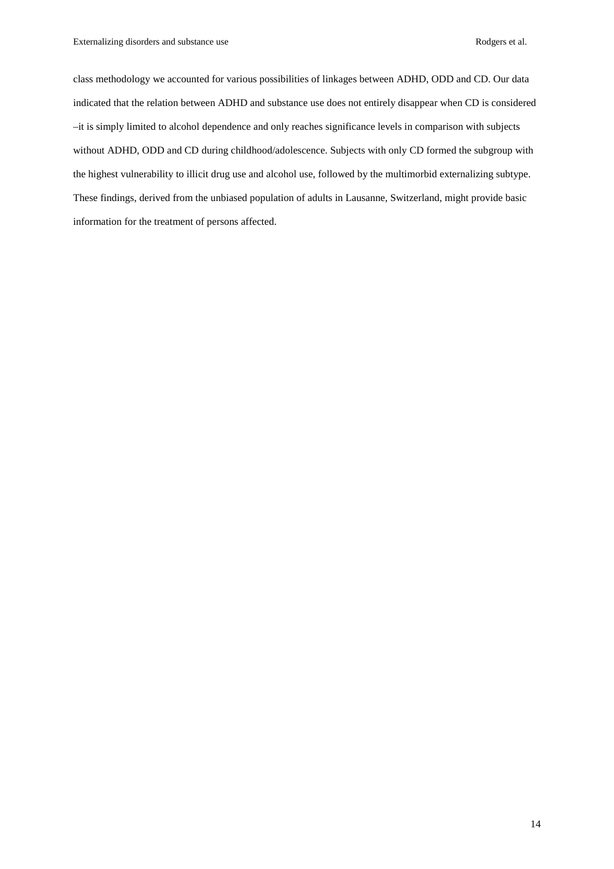class methodology we accounted for various possibilities of linkages between ADHD, ODD and CD. Our data indicated that the relation between ADHD and substance use does not entirely disappear when CD is considered –it is simply limited to alcohol dependence and only reaches significance levels in comparison with subjects without ADHD, ODD and CD during childhood/adolescence. Subjects with only CD formed the subgroup with the highest vulnerability to illicit drug use and alcohol use, followed by the multimorbid externalizing subtype. These findings, derived from the unbiased population of adults in Lausanne, Switzerland, might provide basic information for the treatment of persons affected.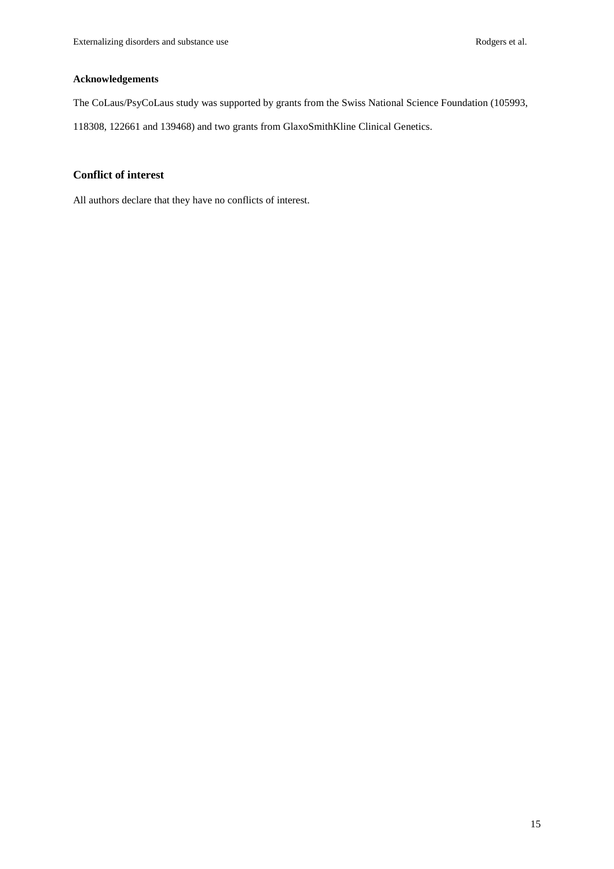## **Acknowledgements**

The CoLaus/PsyCoLaus study was supported by grants from the Swiss National Science Foundation (105993,

118308, 122661 and 139468) and two grants from GlaxoSmithKline Clinical Genetics.

## **Conflict of interest**

All authors declare that they have no conflicts of interest.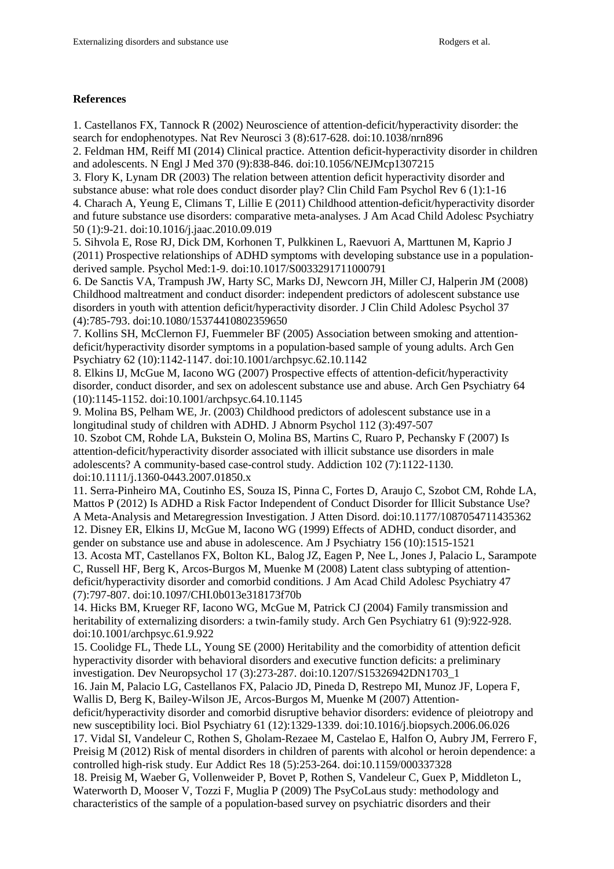## **References**

1. Castellanos FX, Tannock R (2002) Neuroscience of attention-deficit/hyperactivity disorder: the search for endophenotypes. Nat Rev Neurosci 3 (8):617-628. doi:10.1038/nrn896

2. Feldman HM, Reiff MI (2014) Clinical practice. Attention deficit-hyperactivity disorder in children and adolescents. N Engl J Med 370 (9):838-846. doi:10.1056/NEJMcp1307215

3. Flory K, Lynam DR (2003) The relation between attention deficit hyperactivity disorder and substance abuse: what role does conduct disorder play? Clin Child Fam Psychol Rev 6 (1):1-16 4. Charach A, Yeung E, Climans T, Lillie E (2011) Childhood attention-deficit/hyperactivity disorder and future substance use disorders: comparative meta-analyses. J Am Acad Child Adolesc Psychiatry 50 (1):9-21. doi:10.1016/j.jaac.2010.09.019

5. Sihvola E, Rose RJ, Dick DM, Korhonen T, Pulkkinen L, Raevuori A, Marttunen M, Kaprio J (2011) Prospective relationships of ADHD symptoms with developing substance use in a populationderived sample. Psychol Med:1-9. doi:10.1017/S0033291711000791

6. De Sanctis VA, Trampush JW, Harty SC, Marks DJ, Newcorn JH, Miller CJ, Halperin JM (2008) Childhood maltreatment and conduct disorder: independent predictors of adolescent substance use disorders in youth with attention deficit/hyperactivity disorder. J Clin Child Adolesc Psychol 37 (4):785-793. doi:10.1080/15374410802359650

7. Kollins SH, McClernon FJ, Fuemmeler BF (2005) Association between smoking and attentiondeficit/hyperactivity disorder symptoms in a population-based sample of young adults. Arch Gen Psychiatry 62 (10):1142-1147. doi:10.1001/archpsyc.62.10.1142

8. Elkins IJ, McGue M, Iacono WG (2007) Prospective effects of attention-deficit/hyperactivity disorder, conduct disorder, and sex on adolescent substance use and abuse. Arch Gen Psychiatry 64 (10):1145-1152. doi:10.1001/archpsyc.64.10.1145

9. Molina BS, Pelham WE, Jr. (2003) Childhood predictors of adolescent substance use in a longitudinal study of children with ADHD. J Abnorm Psychol 112 (3):497-507

10. Szobot CM, Rohde LA, Bukstein O, Molina BS, Martins C, Ruaro P, Pechansky F (2007) Is attention-deficit/hyperactivity disorder associated with illicit substance use disorders in male adolescents? A community-based case-control study. Addiction 102 (7):1122-1130. doi:10.1111/j.1360-0443.2007.01850.x

11. Serra-Pinheiro MA, Coutinho ES, Souza IS, Pinna C, Fortes D, Araujo C, Szobot CM, Rohde LA, Mattos P (2012) Is ADHD a Risk Factor Independent of Conduct Disorder for Illicit Substance Use? A Meta-Analysis and Metaregression Investigation. J Atten Disord. doi:10.1177/1087054711435362 12. Disney ER, Elkins IJ, McGue M, Iacono WG (1999) Effects of ADHD, conduct disorder, and gender on substance use and abuse in adolescence. Am J Psychiatry 156 (10):1515-1521

13. Acosta MT, Castellanos FX, Bolton KL, Balog JZ, Eagen P, Nee L, Jones J, Palacio L, Sarampote C, Russell HF, Berg K, Arcos-Burgos M, Muenke M (2008) Latent class subtyping of attentiondeficit/hyperactivity disorder and comorbid conditions. J Am Acad Child Adolesc Psychiatry 47 (7):797-807. doi:10.1097/CHI.0b013e318173f70b

14. Hicks BM, Krueger RF, Iacono WG, McGue M, Patrick CJ (2004) Family transmission and heritability of externalizing disorders: a twin-family study. Arch Gen Psychiatry 61 (9):922-928. doi:10.1001/archpsyc.61.9.922

15. Coolidge FL, Thede LL, Young SE (2000) Heritability and the comorbidity of attention deficit hyperactivity disorder with behavioral disorders and executive function deficits: a preliminary investigation. Dev Neuropsychol 17 (3):273-287. doi:10.1207/S15326942DN1703\_1

16. Jain M, Palacio LG, Castellanos FX, Palacio JD, Pineda D, Restrepo MI, Munoz JF, Lopera F, Wallis D, Berg K, Bailey-Wilson JE, Arcos-Burgos M, Muenke M (2007) Attention-

deficit/hyperactivity disorder and comorbid disruptive behavior disorders: evidence of pleiotropy and new susceptibility loci. Biol Psychiatry 61 (12):1329-1339. doi:10.1016/j.biopsych.2006.06.026

17. Vidal SI, Vandeleur C, Rothen S, Gholam-Rezaee M, Castelao E, Halfon O, Aubry JM, Ferrero F, Preisig M (2012) Risk of mental disorders in children of parents with alcohol or heroin dependence: a controlled high-risk study. Eur Addict Res 18 (5):253-264. doi:10.1159/000337328

18. Preisig M, Waeber G, Vollenweider P, Bovet P, Rothen S, Vandeleur C, Guex P, Middleton L, Waterworth D, Mooser V, Tozzi F, Muglia P (2009) The PsyCoLaus study: methodology and characteristics of the sample of a population-based survey on psychiatric disorders and their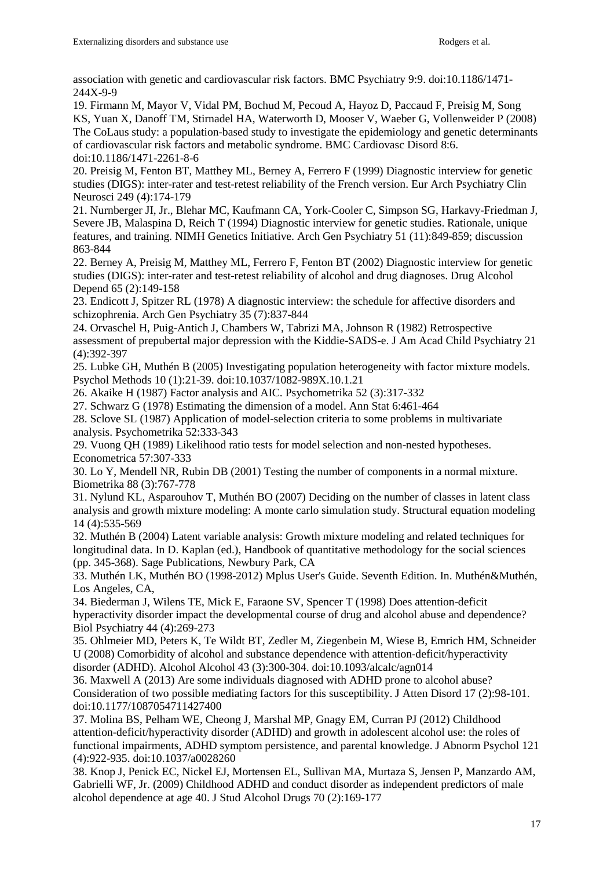association with genetic and cardiovascular risk factors. BMC Psychiatry 9:9. doi:10.1186/1471- 244X-9-9

19. Firmann M, Mayor V, Vidal PM, Bochud M, Pecoud A, Hayoz D, Paccaud F, Preisig M, Song KS, Yuan X, Danoff TM, Stirnadel HA, Waterworth D, Mooser V, Waeber G, Vollenweider P (2008) The CoLaus study: a population-based study to investigate the epidemiology and genetic determinants of cardiovascular risk factors and metabolic syndrome. BMC Cardiovasc Disord 8:6. doi:10.1186/1471-2261-8-6

20. Preisig M, Fenton BT, Matthey ML, Berney A, Ferrero F (1999) Diagnostic interview for genetic studies (DIGS): inter-rater and test-retest reliability of the French version. Eur Arch Psychiatry Clin Neurosci 249 (4):174-179

21. Nurnberger JI, Jr., Blehar MC, Kaufmann CA, York-Cooler C, Simpson SG, Harkavy-Friedman J, Severe JB, Malaspina D, Reich T (1994) Diagnostic interview for genetic studies. Rationale, unique features, and training. NIMH Genetics Initiative. Arch Gen Psychiatry 51 (11):849-859; discussion 863-844

22. Berney A, Preisig M, Matthey ML, Ferrero F, Fenton BT (2002) Diagnostic interview for genetic studies (DIGS): inter-rater and test-retest reliability of alcohol and drug diagnoses. Drug Alcohol Depend 65 (2):149-158

23. Endicott J, Spitzer RL (1978) A diagnostic interview: the schedule for affective disorders and schizophrenia. Arch Gen Psychiatry 35 (7):837-844

24. Orvaschel H, Puig-Antich J, Chambers W, Tabrizi MA, Johnson R (1982) Retrospective assessment of prepubertal major depression with the Kiddie-SADS-e. J Am Acad Child Psychiatry 21 (4):392-397

25. Lubke GH, Muthén B (2005) Investigating population heterogeneity with factor mixture models. Psychol Methods 10 (1):21-39. doi:10.1037/1082-989X.10.1.21

26. Akaike H (1987) Factor analysis and AIC. Psychometrika 52 (3):317-332

27. Schwarz G (1978) Estimating the dimension of a model. Ann Stat 6:461-464

28. Sclove SL (1987) Application of model-selection criteria to some problems in multivariate analysis. Psychometrika 52:333-343

29. Vuong QH (1989) Likelihood ratio tests for model selection and non-nested hypotheses. Econometrica 57:307-333

30. Lo Y, Mendell NR, Rubin DB (2001) Testing the number of components in a normal mixture. Biometrika 88 (3):767-778

31. Nylund KL, Asparouhov T, Muthén BO (2007) Deciding on the number of classes in latent class analysis and growth mixture modeling: A monte carlo simulation study. Structural equation modeling 14 (4):535-569

32. Muthén B (2004) Latent variable analysis: Growth mixture modeling and related techniques for longitudinal data. In D. Kaplan (ed.), Handbook of quantitative methodology for the social sciences (pp. 345-368). Sage Publications, Newbury Park, CA

33. Muthén LK, Muthén BO (1998-2012) Mplus User's Guide. Seventh Edition. In. Muthén&Muthén, Los Angeles, CA,

34. Biederman J, Wilens TE, Mick E, Faraone SV, Spencer T (1998) Does attention-deficit hyperactivity disorder impact the developmental course of drug and alcohol abuse and dependence? Biol Psychiatry 44 (4):269-273

35. Ohlmeier MD, Peters K, Te Wildt BT, Zedler M, Ziegenbein M, Wiese B, Emrich HM, Schneider U (2008) Comorbidity of alcohol and substance dependence with attention-deficit/hyperactivity disorder (ADHD). Alcohol Alcohol 43 (3):300-304. doi:10.1093/alcalc/agn014

36. Maxwell A (2013) Are some individuals diagnosed with ADHD prone to alcohol abuse? Consideration of two possible mediating factors for this susceptibility. J Atten Disord 17 (2):98-101. doi:10.1177/1087054711427400

37. Molina BS, Pelham WE, Cheong J, Marshal MP, Gnagy EM, Curran PJ (2012) Childhood attention-deficit/hyperactivity disorder (ADHD) and growth in adolescent alcohol use: the roles of functional impairments, ADHD symptom persistence, and parental knowledge. J Abnorm Psychol 121 (4):922-935. doi:10.1037/a0028260

38. Knop J, Penick EC, Nickel EJ, Mortensen EL, Sullivan MA, Murtaza S, Jensen P, Manzardo AM, Gabrielli WF, Jr. (2009) Childhood ADHD and conduct disorder as independent predictors of male alcohol dependence at age 40. J Stud Alcohol Drugs 70 (2):169-177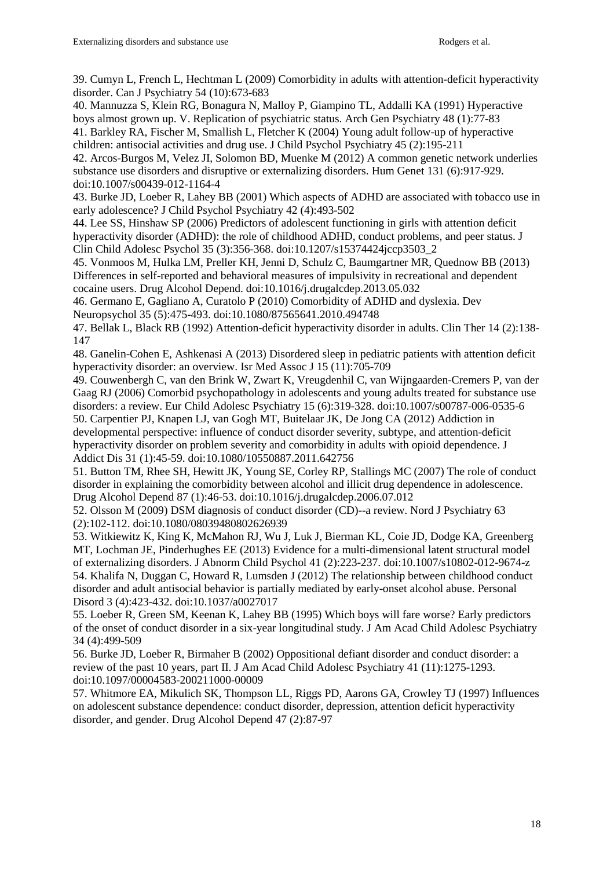39. Cumyn L, French L, Hechtman L (2009) Comorbidity in adults with attention-deficit hyperactivity disorder. Can J Psychiatry 54 (10):673-683

40. Mannuzza S, Klein RG, Bonagura N, Malloy P, Giampino TL, Addalli KA (1991) Hyperactive boys almost grown up. V. Replication of psychiatric status. Arch Gen Psychiatry 48 (1):77-83 41. Barkley RA, Fischer M, Smallish L, Fletcher K (2004) Young adult follow-up of hyperactive

children: antisocial activities and drug use. J Child Psychol Psychiatry 45 (2):195-211 42. Arcos-Burgos M, Velez JI, Solomon BD, Muenke M (2012) A common genetic network underlies substance use disorders and disruptive or externalizing disorders. Hum Genet 131 (6):917-929. doi:10.1007/s00439-012-1164-4

43. Burke JD, Loeber R, Lahey BB (2001) Which aspects of ADHD are associated with tobacco use in early adolescence? J Child Psychol Psychiatry 42 (4):493-502

44. Lee SS, Hinshaw SP (2006) Predictors of adolescent functioning in girls with attention deficit hyperactivity disorder (ADHD): the role of childhood ADHD, conduct problems, and peer status. J Clin Child Adolesc Psychol 35 (3):356-368. doi:10.1207/s15374424jccp3503\_2

45. Vonmoos M, Hulka LM, Preller KH, Jenni D, Schulz C, Baumgartner MR, Quednow BB (2013) Differences in self-reported and behavioral measures of impulsivity in recreational and dependent cocaine users. Drug Alcohol Depend. doi:10.1016/j.drugalcdep.2013.05.032

46. Germano E, Gagliano A, Curatolo P (2010) Comorbidity of ADHD and dyslexia. Dev Neuropsychol 35 (5):475-493. doi:10.1080/87565641.2010.494748

47. Bellak L, Black RB (1992) Attention-deficit hyperactivity disorder in adults. Clin Ther 14 (2):138- 147

48. Ganelin-Cohen E, Ashkenasi A (2013) Disordered sleep in pediatric patients with attention deficit hyperactivity disorder: an overview. Isr Med Assoc J 15 (11):705-709

49. Couwenbergh C, van den Brink W, Zwart K, Vreugdenhil C, van Wijngaarden-Cremers P, van der Gaag RJ (2006) Comorbid psychopathology in adolescents and young adults treated for substance use disorders: a review. Eur Child Adolesc Psychiatry 15 (6):319-328. doi:10.1007/s00787-006-0535-6 50. Carpentier PJ, Knapen LJ, van Gogh MT, Buitelaar JK, De Jong CA (2012) Addiction in

developmental perspective: influence of conduct disorder severity, subtype, and attention-deficit hyperactivity disorder on problem severity and comorbidity in adults with opioid dependence. J Addict Dis 31 (1):45-59. doi:10.1080/10550887.2011.642756

51. Button TM, Rhee SH, Hewitt JK, Young SE, Corley RP, Stallings MC (2007) The role of conduct disorder in explaining the comorbidity between alcohol and illicit drug dependence in adolescence. Drug Alcohol Depend 87 (1):46-53. doi:10.1016/j.drugalcdep.2006.07.012

52. Olsson M (2009) DSM diagnosis of conduct disorder (CD)--a review. Nord J Psychiatry 63 (2):102-112. doi:10.1080/08039480802626939

53. Witkiewitz K, King K, McMahon RJ, Wu J, Luk J, Bierman KL, Coie JD, Dodge KA, Greenberg MT, Lochman JE, Pinderhughes EE (2013) Evidence for a multi-dimensional latent structural model of externalizing disorders. J Abnorm Child Psychol 41 (2):223-237. doi:10.1007/s10802-012-9674-z 54. Khalifa N, Duggan C, Howard R, Lumsden J (2012) The relationship between childhood conduct disorder and adult antisocial behavior is partially mediated by early-onset alcohol abuse. Personal Disord 3 (4):423-432. doi:10.1037/a0027017

55. Loeber R, Green SM, Keenan K, Lahey BB (1995) Which boys will fare worse? Early predictors of the onset of conduct disorder in a six-year longitudinal study. J Am Acad Child Adolesc Psychiatry 34 (4):499-509

56. Burke JD, Loeber R, Birmaher B (2002) Oppositional defiant disorder and conduct disorder: a review of the past 10 years, part II. J Am Acad Child Adolesc Psychiatry 41 (11):1275-1293. doi:10.1097/00004583-200211000-00009

57. Whitmore EA, Mikulich SK, Thompson LL, Riggs PD, Aarons GA, Crowley TJ (1997) Influences on adolescent substance dependence: conduct disorder, depression, attention deficit hyperactivity disorder, and gender. Drug Alcohol Depend 47 (2):87-97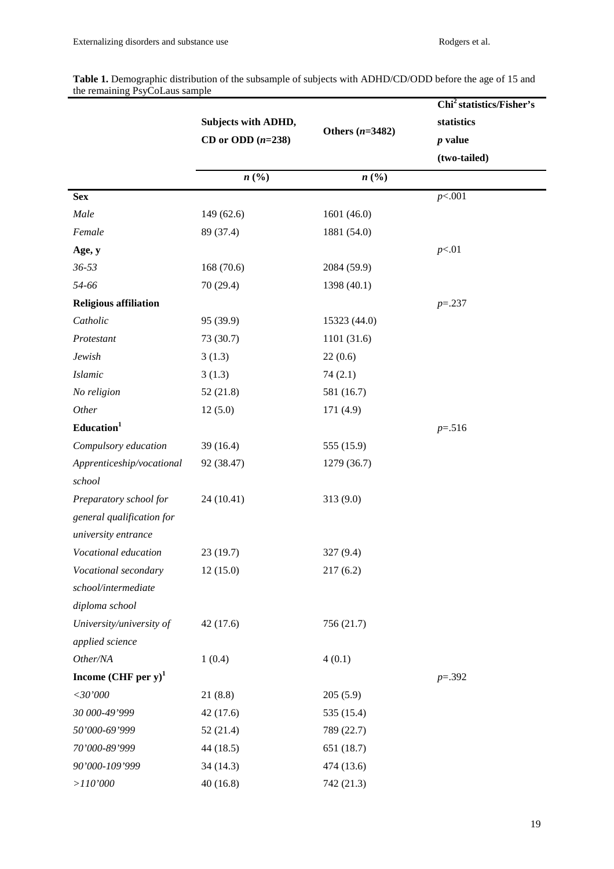|                                   | Subjects with ADHD,<br>CD or ODD $(n=238)$ | Others $(n=3482)$           | Chi <sup>2</sup> statistics/Fisher's<br>statistics<br>$p$ value<br>(two-tailed) |
|-----------------------------------|--------------------------------------------|-----------------------------|---------------------------------------------------------------------------------|
|                                   | $n\left(\frac{0}{0}\right)$                | $n\left(\frac{0}{0}\right)$ |                                                                                 |
| <b>Sex</b>                        |                                            |                             | p<.001                                                                          |
| Male                              | 149 (62.6)                                 | 1601 (46.0)                 |                                                                                 |
| Female                            | 89 (37.4)                                  | 1881 (54.0)                 |                                                                                 |
| Age, y                            |                                            |                             | p<.01                                                                           |
| $36 - 53$                         | 168 (70.6)                                 | 2084 (59.9)                 |                                                                                 |
| 54-66                             | 70 (29.4)                                  | 1398 (40.1)                 |                                                                                 |
| <b>Religious affiliation</b>      |                                            |                             | $p = 237$                                                                       |
| Catholic                          | 95 (39.9)                                  | 15323 (44.0)                |                                                                                 |
| Protestant                        | 73 (30.7)                                  | 1101 (31.6)                 |                                                                                 |
| Jewish                            | 3(1.3)                                     | 22(0.6)                     |                                                                                 |
| <b>Islamic</b>                    | 3(1.3)                                     | 74(2.1)                     |                                                                                 |
| No religion                       | 52(21.8)                                   | 581 (16.7)                  |                                                                                 |
| Other                             | 12(5.0)                                    | 171(4.9)                    |                                                                                 |
| Education <sup>1</sup>            |                                            |                             | $p = 0.516$                                                                     |
| Compulsory education              | 39(16.4)                                   | 555 (15.9)                  |                                                                                 |
| Apprenticeship/vocational         | 92 (38.47)                                 | 1279 (36.7)                 |                                                                                 |
| school                            |                                            |                             |                                                                                 |
| Preparatory school for            | 24 (10.41)                                 | 313 (9.0)                   |                                                                                 |
| general qualification for         |                                            |                             |                                                                                 |
| university entrance               |                                            |                             |                                                                                 |
| Vocational education              | 23(19.7)                                   | 327 (9.4)                   |                                                                                 |
| Vocational secondary              | 12(15.0)                                   | 217(6.2)                    |                                                                                 |
| school/intermediate               |                                            |                             |                                                                                 |
| diploma school                    |                                            |                             |                                                                                 |
| University/university of          | 42(17.6)                                   | 756 (21.7)                  |                                                                                 |
| applied science                   |                                            |                             |                                                                                 |
| Other/NA                          | 1(0.4)                                     | 4(0.1)                      |                                                                                 |
| Income $(CHF$ per y) <sup>1</sup> |                                            |                             | $p=.392$                                                                        |
| $<$ 30'000                        | 21(8.8)                                    | 205(5.9)                    |                                                                                 |
| 30 000-49'999                     | 42(17.6)                                   | 535 (15.4)                  |                                                                                 |
| 50'000-69'999                     | 52(21.4)                                   | 789 (22.7)                  |                                                                                 |
| 70'000-89'999                     | 44 (18.5)                                  | 651 (18.7)                  |                                                                                 |
| 90'000-109'999                    | 34(14.3)                                   | 474 (13.6)                  |                                                                                 |
| ${>}110^{\circ}000$               | 40(16.8)                                   | 742 (21.3)                  |                                                                                 |

Table 1. Demographic distribution of the subsample of subjects with ADHD/CD/ODD before the age of 15 and the remaining PsyCoLaus sample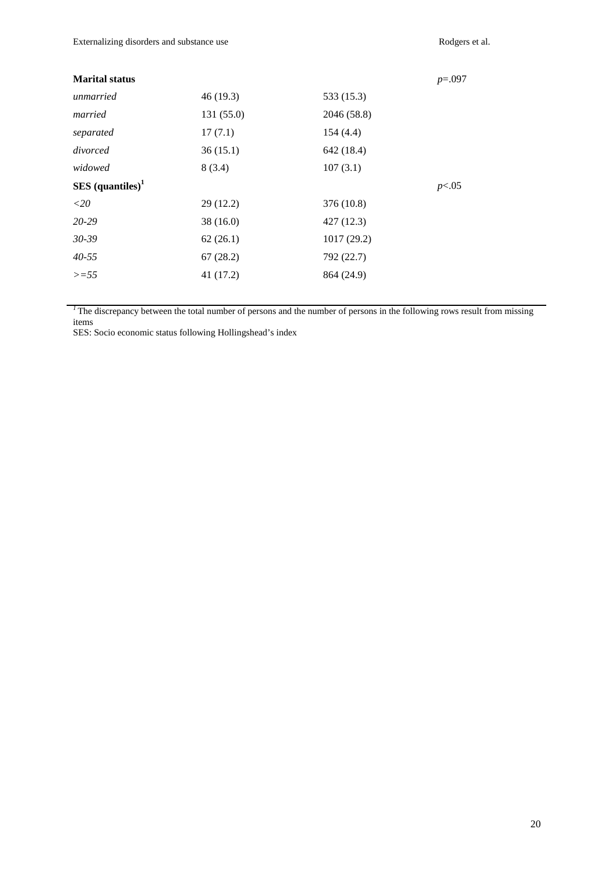| <b>Marital status</b>          |            |             | $p=.097$ |
|--------------------------------|------------|-------------|----------|
| unmarried                      | 46(19.3)   | 533 (15.3)  |          |
| married                        | 131 (55.0) | 2046 (58.8) |          |
| separated                      | 17(7.1)    | 154(4.4)    |          |
| divorced                       | 36(15.1)   | 642 (18.4)  |          |
| widowed                        | 8(3.4)     | 107(3.1)    |          |
| $SES$ (quantiles) <sup>1</sup> |            |             | p<.05    |
| ${<}20$                        | 29(12.2)   | 376 (10.8)  |          |
| 20-29                          | 38(16.0)   | 427(12.3)   |          |
|                                |            |             |          |
| $30 - 39$                      | 62(26.1)   | 1017(29.2)  |          |
| $40 - 55$                      | 67(28.2)   | 792 (22.7)  |          |
| $>=55$                         | 41(17.2)   | 864 (24.9)  |          |

<sup>1</sup>The discrepancy between the total number of persons and the number of persons in the following rows result from missing items

SES: Socio economic status following Hollingshead's index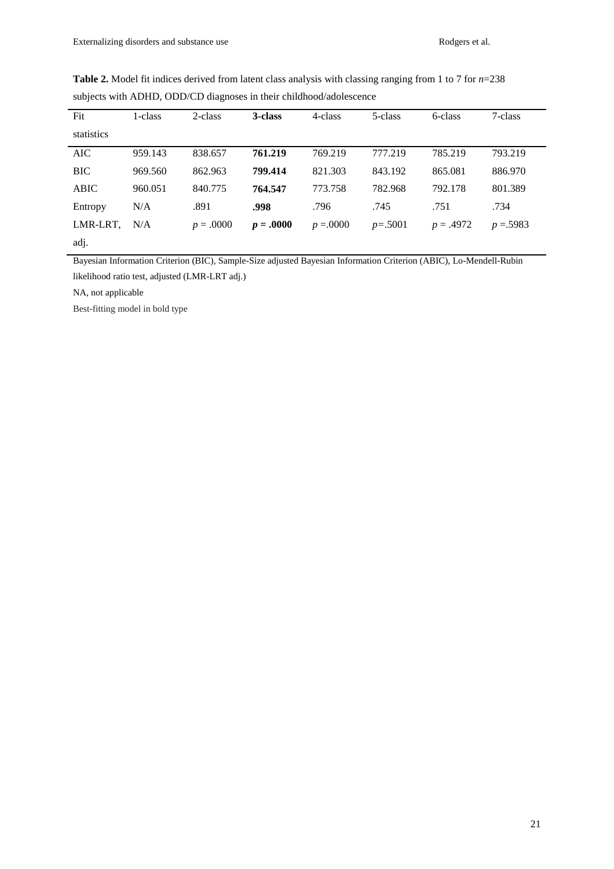| Fit         | 1-class | 2-class     | 3-class     | 4-class      | 5-class   | 6-class     | 7-class    |
|-------------|---------|-------------|-------------|--------------|-----------|-------------|------------|
| statistics  |         |             |             |              |           |             |            |
| AIC         | 959.143 | 838.657     | 761.219     | 769.219      | 777.219   | 785.219     | 793.219    |
| <b>BIC</b>  | 969.560 | 862.963     | 799.414     | 821.303      | 843.192   | 865.081     | 886.970    |
| <b>ABIC</b> | 960.051 | 840.775     | 764.547     | 773.758      | 782.968   | 792.178     | 801.389    |
| Entropy     | N/A     | .891        | .998        | .796         | .745      | .751        | .734       |
| LMR-LRT,    | N/A     | $p = .0000$ | $p = .0000$ | $p = 0.0000$ | $p=.5001$ | $p = .4972$ | $p = 5983$ |
| adj.        |         |             |             |              |           |             |            |

**Table 2.** Model fit indices derived from latent class analysis with classing ranging from 1 to 7 for *n*=238 subjects with ADHD, ODD/CD diagnoses in their childhood/adolescence

Bayesian Information Criterion (BIC), Sample-Size adjusted Bayesian Information Criterion (ABIC), Lo-Mendell-Rubin likelihood ratio test, adjusted (LMR-LRT adj.)

NA, not applicable

Best-fitting model in bold type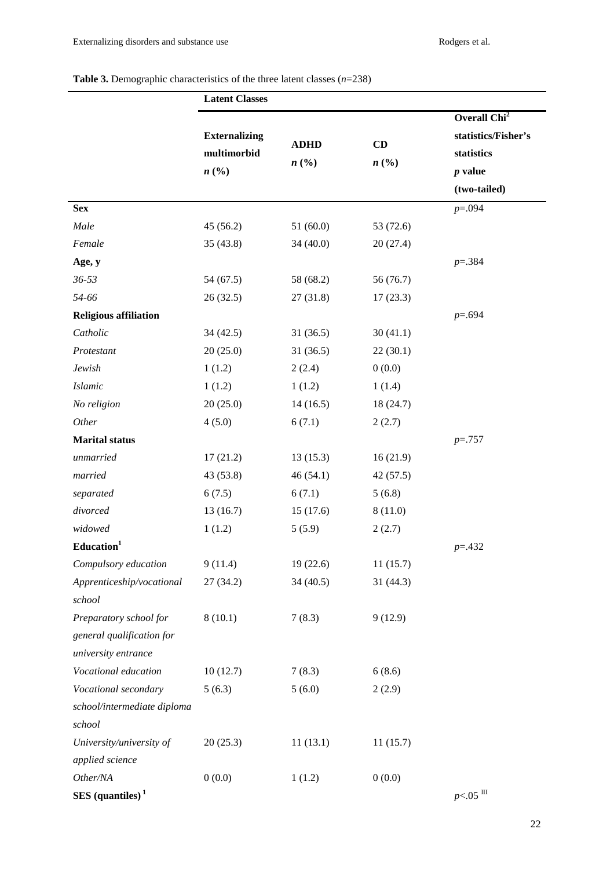# **Table 3.** Demographic characteristics of the three latent classes (*n*=238)

|                                | <b>Latent Classes</b>                       |                                            |                 |                                                                                            |
|--------------------------------|---------------------------------------------|--------------------------------------------|-----------------|--------------------------------------------------------------------------------------------|
|                                | <b>Externalizing</b><br>multimorbid<br>n(%) | <b>ADHD</b><br>$n\left(\frac{0}{0}\right)$ | CD<br>$n\,(\%)$ | Overall Chi <sup>2</sup><br>statistics/Fisher's<br>statistics<br>$p$ value<br>(two-tailed) |
| <b>Sex</b>                     |                                             |                                            |                 | $p = 0.094$                                                                                |
| Male                           | 45 (56.2)                                   | 51(60.0)                                   | 53 (72.6)       |                                                                                            |
| Female                         | 35(43.8)                                    | 34(40.0)                                   | 20(27.4)        |                                                                                            |
| Age, y                         |                                             |                                            |                 | $p = 384$                                                                                  |
| $36 - 53$                      | 54 (67.5)                                   | 58 (68.2)                                  | 56 (76.7)       |                                                                                            |
| 54-66                          | 26(32.5)                                    | 27(31.8)                                   | 17(23.3)        |                                                                                            |
| <b>Religious affiliation</b>   |                                             |                                            |                 | $p = .694$                                                                                 |
| Catholic                       | 34(42.5)                                    | 31(36.5)                                   | 30(41.1)        |                                                                                            |
| Protestant                     | 20(25.0)                                    | 31(36.5)                                   | 22(30.1)        |                                                                                            |
| Jewish                         | 1(1.2)                                      | 2(2.4)                                     | 0(0.0)          |                                                                                            |
| <b>Islamic</b>                 | 1(1.2)                                      | 1(1.2)                                     | 1(1.4)          |                                                                                            |
| No religion                    | 20(25.0)                                    | 14(16.5)                                   | 18 (24.7)       |                                                                                            |
| Other                          | 4(5.0)                                      | 6(7.1)                                     | 2(2.7)          |                                                                                            |
| <b>Marital status</b>          |                                             |                                            |                 | $p = 0.757$                                                                                |
| unmarried                      | 17(21.2)                                    | 13(15.3)                                   | 16(21.9)        |                                                                                            |
| married                        | 43 (53.8)                                   | 46(54.1)                                   | 42(57.5)        |                                                                                            |
| separated                      | 6(7.5)                                      | 6(7.1)                                     | 5(6.8)          |                                                                                            |
| divorced                       | 13(16.7)                                    | 15(17.6)                                   | 8(11.0)         |                                                                                            |
| widowed                        | 1(1.2)                                      | 5(5.9)                                     | 2(2.7)          |                                                                                            |
| Education <sup>1</sup>         |                                             |                                            |                 | $p = 0.432$                                                                                |
| Compulsory education           | 9(11.4)                                     | 19(22.6)                                   | 11(15.7)        |                                                                                            |
| Apprenticeship/vocational      | 27 (34.2)                                   | 34(40.5)                                   | 31(44.3)        |                                                                                            |
| school                         |                                             |                                            |                 |                                                                                            |
| Preparatory school for         | 8(10.1)                                     | 7(8.3)                                     | 9(12.9)         |                                                                                            |
| general qualification for      |                                             |                                            |                 |                                                                                            |
| university entrance            |                                             |                                            |                 |                                                                                            |
| Vocational education           | 10(12.7)                                    | 7(8.3)                                     | 6(8.6)          |                                                                                            |
| Vocational secondary           | 5(6.3)                                      | 5(6.0)                                     | 2(2.9)          |                                                                                            |
| school/intermediate diploma    |                                             |                                            |                 |                                                                                            |
| school                         |                                             |                                            |                 |                                                                                            |
| University/university of       | 20(25.3)                                    | 11(13.1)                                   | 11(15.7)        |                                                                                            |
| applied science                |                                             |                                            |                 |                                                                                            |
| Other/NA                       | 0(0.0)                                      | 1(1.2)                                     | 0(0.0)          |                                                                                            |
| $SES$ (quantiles) <sup>1</sup> |                                             |                                            |                 | $p<05$ $^{\rm III}$                                                                        |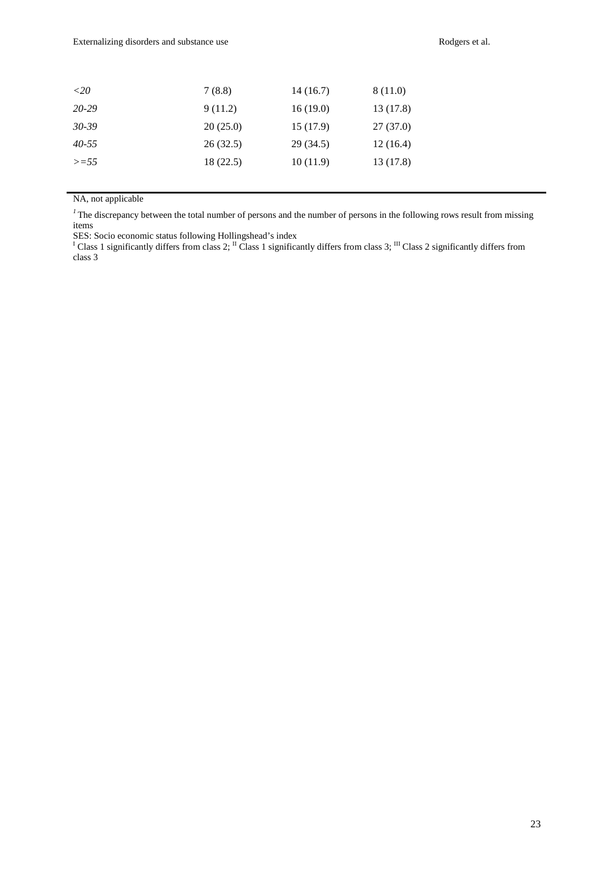| ${<}20$   | 7(8.8)   | 14(16.7)  | 8 (11.0)  |
|-----------|----------|-----------|-----------|
| 20-29     | 9(11.2)  | 16(19.0)  | 13 (17.8) |
| $30 - 39$ | 20(25.0) | 15(17.9)  | 27(37.0)  |
| $40 - 55$ | 26(32.5) | 29 (34.5) | 12(16.4)  |
| $>=55$    | 18(22.5) | 10(11.9)  | 13 (17.8) |
|           |          |           |           |

NA, not applicable

<sup>1</sup>The discrepancy between the total number of persons and the number of persons in the following rows result from missing items

SES: Socio economic status following Hollingshead's index<br><sup>I</sup> Class 1 significantly differs from class 2; <sup>II</sup> Class 1 significantly differs from class 3; <sup>III</sup> Class 2 significantly differs from class 3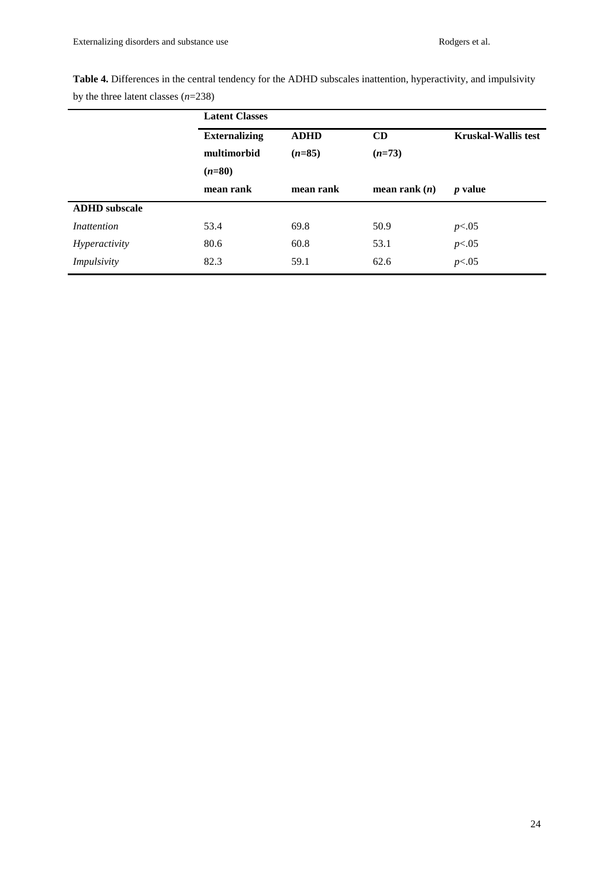| Table 4. Differences in the central tendency for the ADHD subscales inattention, hyperactivity, and impulsivity |  |  |  |
|-----------------------------------------------------------------------------------------------------------------|--|--|--|
| by the three latent classes $(n=238)$                                                                           |  |  |  |

|                      | <b>Latent Classes</b> |             |                 |                            |  |  |
|----------------------|-----------------------|-------------|-----------------|----------------------------|--|--|
|                      | <b>Externalizing</b>  | <b>ADHD</b> | CD              | <b>Kruskal-Wallis test</b> |  |  |
|                      | multimorbid           | $(n=85)$    | $(n=73)$        |                            |  |  |
|                      | $(n=80)$              |             |                 |                            |  |  |
|                      | mean rank             | mean rank   | mean rank $(n)$ | <i>p</i> value             |  |  |
| <b>ADHD</b> subscale |                       |             |                 |                            |  |  |
| Inattention          | 53.4                  | 69.8        | 50.9            | p<.05                      |  |  |
| <i>Hyperactivity</i> | 80.6                  | 60.8        | 53.1            | p<.05                      |  |  |
| <i>Impulsivity</i>   | 82.3                  | 59.1        | 62.6            | p<.05                      |  |  |
|                      |                       |             |                 |                            |  |  |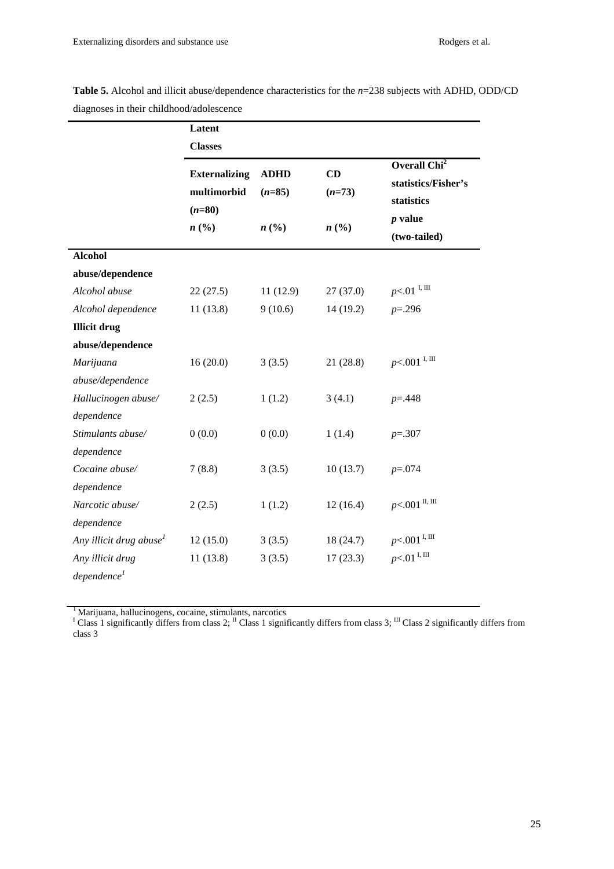|                                     | Latent                              |                         |                             |                                   |
|-------------------------------------|-------------------------------------|-------------------------|-----------------------------|-----------------------------------|
|                                     | <b>Classes</b>                      |                         |                             | Overall Chi <sup>2</sup>          |
|                                     | <b>Externalizing</b><br>multimorbid | <b>ADHD</b><br>$(n=85)$ | CD<br>$(n=73)$              | statistics/Fisher's<br>statistics |
|                                     | $(n=80)$<br>n(%)                    | n(%)                    | $n\left(\frac{0}{0}\right)$ | p value                           |
|                                     |                                     |                         |                             | (two-tailed)                      |
| <b>Alcohol</b>                      |                                     |                         |                             |                                   |
| abuse/dependence                    |                                     |                         |                             |                                   |
| Alcohol abuse                       | 22(27.5)                            | 11(12.9)                | 27(37.0)                    | $p<.01$ <sup>I, III</sup>         |
| Alcohol dependence                  | 11(13.8)                            | 9(10.6)                 | 14 (19.2)                   | $p = 0.296$                       |
| <b>Illicit drug</b>                 |                                     |                         |                             |                                   |
| abuse/dependence                    |                                     |                         |                             |                                   |
| Marijuana                           | 16(20.0)                            | 3(3.5)                  | 21(28.8)                    | $p<.001$ <sup>I, III</sup>        |
| abuse/dependence                    |                                     |                         |                             |                                   |
| Hallucinogen abuse/                 | 2(2.5)                              | 1(1.2)                  | 3(4.1)                      | $p = 0.448$                       |
| dependence                          |                                     |                         |                             |                                   |
| Stimulants abuse/                   | 0(0.0)                              | 0(0.0)                  | 1(1.4)                      | $p=.307$                          |
| dependence                          |                                     |                         |                             |                                   |
| Cocaine abuse/                      | 7(8.8)                              | 3(3.5)                  | 10(13.7)                    | $p = 0.074$                       |
| dependence                          |                                     |                         |                             |                                   |
| Narcotic abuse/                     | 2(2.5)                              | 1(1.2)                  | 12(16.4)                    | $p<.001$ II, III                  |
| dependence                          |                                     |                         |                             |                                   |
| Any illicit drug abuse <sup>1</sup> | 12(15.0)                            | 3(3.5)                  | 18(24.7)                    | $p<.001$ <sup>I, III</sup>        |
| Any illicit drug                    | 11(13.8)                            | 3(3.5)                  | 17(23.3)                    | $p<.01$ <sup>I, III</sup>         |
| dependence <sup>1</sup>             |                                     |                         |                             |                                   |

**Table 5.** Alcohol and illicit abuse/dependence characteristics for the *n*=238 subjects with ADHD, ODD/CD diagnoses in their childhood/adolescence

<sup>1</sup> Marijuana, hallucinogens, cocaine, stimulants, narcotics  $I$  Class 1 significantly differs from class 3;  $^{III}$  Class 2 significantly differs from  $I$ class 3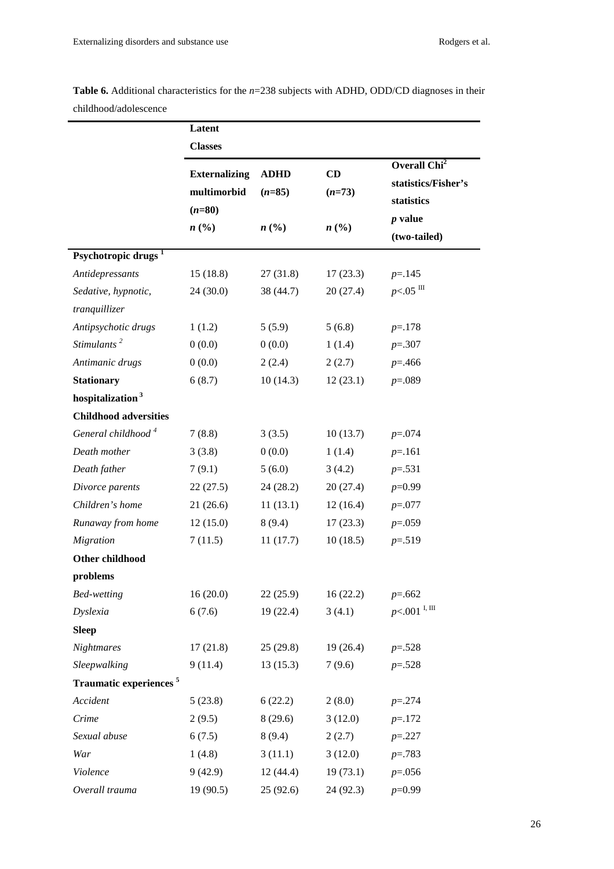| childhood/adolescence              |                                                 |                         |                |                                                               |
|------------------------------------|-------------------------------------------------|-------------------------|----------------|---------------------------------------------------------------|
|                                    | Latent                                          |                         |                |                                                               |
|                                    | <b>Classes</b>                                  |                         |                |                                                               |
|                                    | <b>Externalizing</b><br>multimorbid<br>$(n=80)$ | <b>ADHD</b><br>$(n=85)$ | CD<br>$(n=73)$ | Overall Chi <sup>2</sup><br>statistics/Fisher's<br>statistics |
|                                    | n(%)                                            | n(%)                    | n(%)           | <i>p</i> value<br>(two-tailed)                                |
| Psychotropic drugs <sup>1</sup>    |                                                 |                         |                |                                                               |
| Antidepressants                    | 15(18.8)                                        | 27(31.8)                | 17(23.3)       | $p = 145$                                                     |
| Sedative, hypnotic,                | 24(30.0)                                        | 38 (44.7)               | 20(27.4)       | $p<.05$ III                                                   |
| tranquillizer                      |                                                 |                         |                |                                                               |
| Antipsychotic drugs                | 1(1.2)                                          | 5(5.9)                  | 5(6.8)         | $p = 178$                                                     |
| Stimulants <sup>2</sup>            | 0(0.0)                                          | 0(0.0)                  | 1(1.4)         | $p=.307$                                                      |
| Antimanic drugs                    | 0(0.0)                                          | 2(2.4)                  | 2(2.7)         | $p = 0.466$                                                   |
| <b>Stationary</b>                  | 6(8.7)                                          | 10(14.3)                | 12(23.1)       | $p=.089$                                                      |
| hospitalization <sup>3</sup>       |                                                 |                         |                |                                                               |
| <b>Childhood adversities</b>       |                                                 |                         |                |                                                               |
| General childhood <sup>4</sup>     | 7(8.8)                                          | 3(3.5)                  | 10(13.7)       | $p=.074$                                                      |
| Death mother                       | 3(3.8)                                          | 0(0.0)                  | 1(1.4)         | $p = 161$                                                     |
| Death father                       | 7(9.1)                                          | 5(6.0)                  | 3(4.2)         | $p=.531$                                                      |
| Divorce parents                    | 22(27.5)                                        | 24(28.2)                | 20(27.4)       | $p=0.99$                                                      |
| Children's home                    | 21(26.6)                                        | 11(13.1)                | 12(16.4)       | $p=.077$                                                      |
| Runaway from home                  | 12(15.0)                                        | 8(9.4)                  | 17(23.3)       | $p=.059$                                                      |
| <b>Migration</b>                   | 7(11.5)                                         | 11(17.7)                | 10(18.5)       | $p = 0.519$                                                   |
| Other childhood                    |                                                 |                         |                |                                                               |
| problems                           |                                                 |                         |                |                                                               |
| <b>Bed-wetting</b>                 | 16(20.0)                                        | 22(25.9)                | 16(22.2)       | $p=.662$                                                      |
| <b>Dyslexia</b>                    | 6(7.6)                                          | 19(22.4)                | 3(4.1)         | $p<.001$ <sup>I, III</sup>                                    |
| <b>Sleep</b>                       |                                                 |                         |                |                                                               |
| <b>Nightmares</b>                  | 17(21.8)                                        | 25(29.8)                | 19(26.4)       | $p=.528$                                                      |
| Sleepwalking                       | 9(11.4)                                         | 13(15.3)                | 7(9.6)         | $p=.528$                                                      |
| Traumatic experiences <sup>5</sup> |                                                 |                         |                |                                                               |
| Accident                           | 5(23.8)                                         | 6(22.2)                 | 2(8.0)         | $p = 274$                                                     |
| Crime                              | 2(9.5)                                          | 8(29.6)                 | 3(12.0)        | $p = 172$                                                     |
| Sexual abuse                       | 6(7.5)                                          | 8(9.4)                  | 2(2.7)         | $p=.227$                                                      |
| War                                | 1(4.8)                                          | 3(11.1)                 | 3(12.0)        | $p=.783$                                                      |
| Violence                           | 9(42.9)                                         | 12(44.4)                | 19(73.1)       | $p=.056$                                                      |
| Overall trauma                     | 19 (90.5)                                       | 25(92.6)                | 24(92.3)       | $p=0.99$                                                      |

**Table 6.** Additional characteristics for the *n*=238 subjects with ADHD, ODD/CD diagnoses in their childhood/adolescence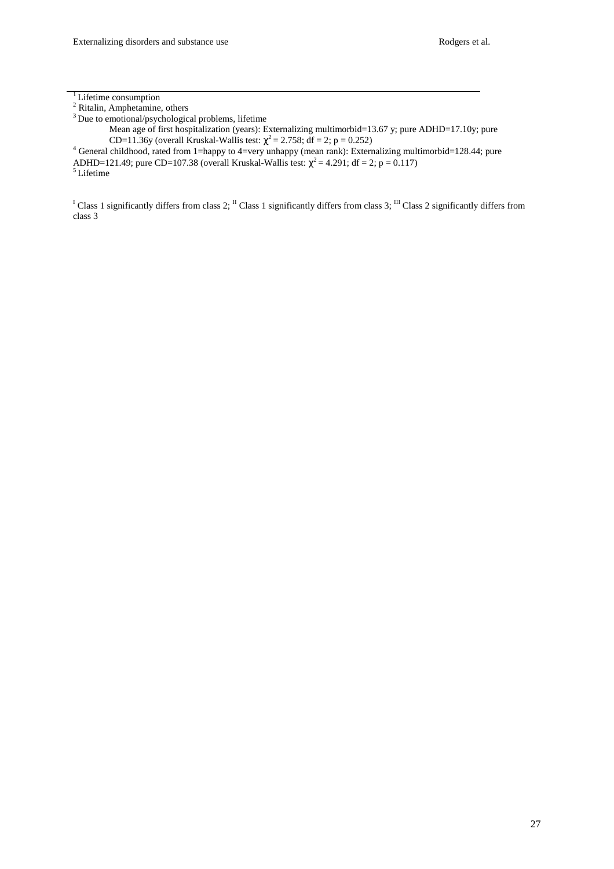$3$  Due to emotional/psychological problems, lifetime

Mean age of first hospitalization (years): Externalizing multimorbid=13.67 y; pure ADHD=17.10y; pure CD=11.36y (overall Kruskal-Wallis test:  $\chi^2 = 2.758$ ; df = 2; p = 0.252)<br><sup>4</sup> General childhood, rated from 1=happy to 4=very unhappy (mean rank): Externalizing multimorbid=128.44; pure

ADHD=121.49; pure CD=107.38 (overall Kruskal-Wallis test:  $\chi^2$  = 4.291; df = 2; p = 0.117)

<sup>5</sup>Lifetime

<sup>I</sup> Class 1 significantly differs from class 2; <sup>II</sup> Class 1 significantly differs from class 3; <sup>III</sup> Class 2 significantly differs from class 3

<sup>&</sup>lt;sup>1</sup> Lifetime consumption<br><sup>2</sup> Ritalin, Amphetamine, others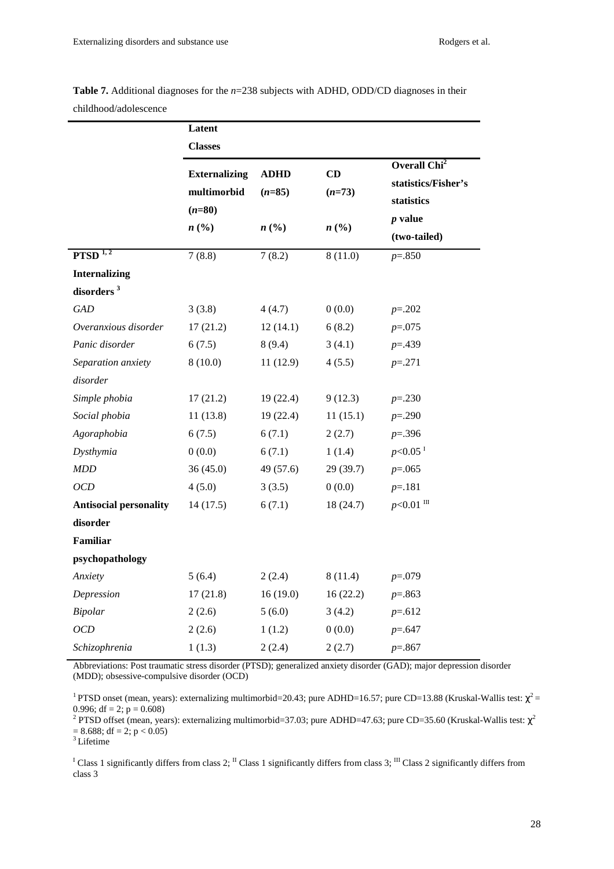| CHIRROOG/AGOIESCEILE          |                                                 |                             |                             |                                                               |  |  |
|-------------------------------|-------------------------------------------------|-----------------------------|-----------------------------|---------------------------------------------------------------|--|--|
|                               | Latent                                          |                             |                             |                                                               |  |  |
|                               | <b>Classes</b>                                  |                             |                             |                                                               |  |  |
|                               | <b>Externalizing</b><br>multimorbid<br>$(n=80)$ | <b>ADHD</b><br>$(n=85)$     | CD<br>$(n=73)$              | Overall Chi <sup>2</sup><br>statistics/Fisher's<br>statistics |  |  |
|                               | n(%)                                            | $n\left(\frac{0}{0}\right)$ | $n\left(\frac{0}{0}\right)$ | $p$ value                                                     |  |  |
|                               |                                                 |                             |                             | (two-tailed)                                                  |  |  |
| PTSD <sup>1,2</sup>           | 7(8.8)                                          | 7(8.2)                      | 8(11.0)                     | $p = 0.850$                                                   |  |  |
| <b>Internalizing</b>          |                                                 |                             |                             |                                                               |  |  |
| disorders <sup>3</sup>        |                                                 |                             |                             |                                                               |  |  |
| <b>GAD</b>                    | 3(3.8)                                          | 4(4.7)                      | 0(0.0)                      | $p=.202$                                                      |  |  |
| Overanxious disorder          | 17(21.2)                                        | 12(14.1)                    | 6(8.2)                      | $p=.075$                                                      |  |  |
| Panic disorder                | 6(7.5)                                          | 8(9.4)                      | 3(4.1)                      | $p = 439$                                                     |  |  |
| Separation anxiety            | 8(10.0)                                         | 11(12.9)                    | 4(5.5)                      | $p = 271$                                                     |  |  |
| disorder                      |                                                 |                             |                             |                                                               |  |  |
| Simple phobia                 | 17(21.2)                                        | 19(22.4)                    | 9(12.3)                     | $p=.230$                                                      |  |  |
| Social phobia                 | 11(13.8)                                        | 19(22.4)                    | 11(15.1)                    | $p=.290$                                                      |  |  |
| Agoraphobia                   | 6(7.5)                                          | 6(7.1)                      | 2(2.7)                      | $p = 0.396$                                                   |  |  |
| Dysthymia                     | 0(0.0)                                          | 6(7.1)                      | 1(1.4)                      | $p<0.05$ <sup>I</sup>                                         |  |  |
| <b>MDD</b>                    | 36(45.0)                                        | 49 (57.6)                   | 29(39.7)                    | $p=.065$                                                      |  |  |
| OCD                           | 4(5.0)                                          | 3(3.5)                      | 0(0.0)                      | $p = 181$                                                     |  |  |
| <b>Antisocial personality</b> | 14(17.5)                                        | 6(7.1)                      | 18(24.7)                    | $p<0.01$ III                                                  |  |  |
| disorder                      |                                                 |                             |                             |                                                               |  |  |
| Familiar                      |                                                 |                             |                             |                                                               |  |  |
| psychopathology               |                                                 |                             |                             |                                                               |  |  |
| Anxiety                       | 5(6.4)                                          | 2(2.4)                      | 8(11.4)                     | $p=.079$                                                      |  |  |
| Depression                    | 17(21.8)                                        | 16(19.0)                    | 16(22.2)                    | $p=.863$                                                      |  |  |
| Bipolar                       | 2(2.6)                                          | 5(6.0)                      | 3(4.2)                      | $p=.612$                                                      |  |  |
| OCD                           | 2(2.6)                                          | 1(1.2)                      | 0(0.0)                      | $p = 647$                                                     |  |  |
| Schizophrenia                 | 1(1.3)                                          | 2(2.4)                      | 2(2.7)                      | $p=.867$                                                      |  |  |

**Table 7.** Additional diagnoses for the *n*=238 subjects with ADHD, ODD/CD diagnoses in their childhood/adolescence

Abbreviations: Post traumatic stress disorder (PTSD); generalized anxiety disorder (GAD); major depression disorder (MDD); obsessive-compulsive disorder (OCD)

<sup>1</sup> PTSD onset (mean, years): externalizing multimorbid=20.43; pure ADHD=16.57; pure CD=13.88 (Kruskal-Wallis test:  $\chi^2$  = 0.996; df = 2;  $p = 0.608$ )

<sup>2</sup> PTSD offset (mean, years): externalizing multimorbid=37.03; pure ADHD=47.63; pure CD=35.60 (Kruskal-Wallis test:  $\chi^2$  $= 8.688$ ; df  $= 2$ ; p  $< 0.05$ )

<sup>3</sup>Lifetime

<sup>I</sup> Class 1 significantly differs from class 2; <sup>II</sup> Class 1 significantly differs from class 3; <sup>III</sup> Class 2 significantly differs from class 3